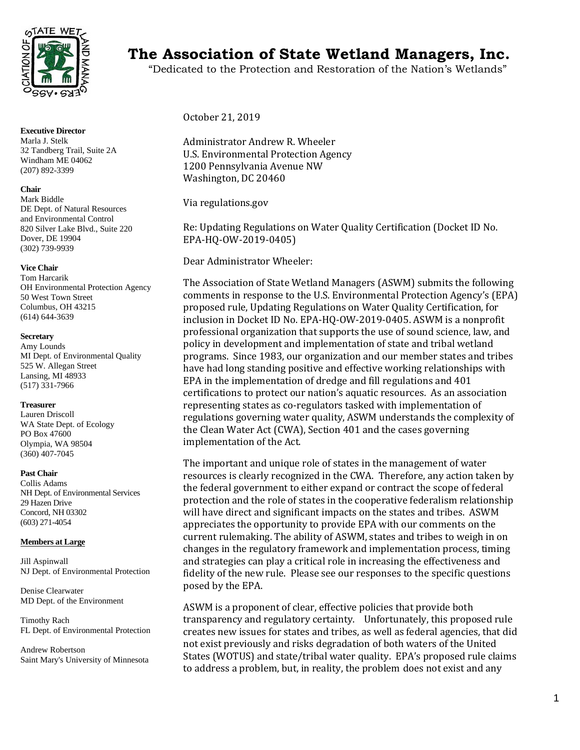

#### **Executive Director**

Marla J. Stelk 32 Tandberg Trail, Suite 2A Windham ME 04062 (207) 892-3399

#### **Chair**

Mark Biddle DE Dept. of Natural Resources and Environmental Control 820 Silver Lake Blvd., Suite 220 Dover, DE 19904 (302) 739-9939

#### **Vice Chair**

Tom Harcarik OH Environmental Protection Agency 50 West Town Street Columbus, OH 43215 (614) 644-3639

#### **Secretary**

Amy Lounds MI Dept. of Environmental Quality 525 W. Allegan Street Lansing, MI 48933 (517) 331-7966

#### **Treasurer**

Lauren Driscoll WA State Dept. of Ecology PO Box 47600 Olympia, WA 98504 (360) 407-7045

#### **Past Chair**

Collis Adams NH Dept. of Environmental Services 29 Hazen Drive Concord, NH 03302 (603) 271-4054

## **Members at Large**

Jill Aspinwall NJ Dept. of Environmental Protection

Denise Clearwater MD Dept. of the Environment

Timothy Rach FL Dept. of Environmental Protection

Andrew Robertson Saint Mary's University of Minnesota

# **The Association of State Wetland Managers, Inc.**

"Dedicated to the Protection and Restoration of the Nation's Wetlands"

October 21, 2019

Administrator Andrew R. Wheeler U.S. Environmental Protection Agency 1200 Pennsylvania Avenue NW Washington, DC 20460

Via regulations.gov

Re: Updating Regulations on Water Quality Certification (Docket ID No. EPA-HQ-OW-2019-0405)

Dear Administrator Wheeler:

The Association of State Wetland Managers (ASWM) submits the following comments in response to the U.S. Environmental Protection Agency's (EPA) proposed rule, Updating Regulations on Water Quality Certification, for inclusion in Docket ID No. EPA-HQ-OW-2019-0405. ASWM is a nonprofit professional organization that supports the use of sound science, law, and policy in development and implementation of state and tribal wetland programs. Since 1983, our organization and our member states and tribes have had long standing positive and effective working relationships with EPA in the implementation of dredge and fill regulations and 401 certifications to protect our nation's aquatic resources. As an association representing states as co-regulators tasked with implementation of regulations governing water quality, ASWM understands the complexity of the Clean Water Act (CWA), Section 401 and the cases governing implementation of the Act.

The important and unique role of states in the management of water resources is clearly recognized in the CWA. Therefore, any action taken by the federal government to either expand or contract the scope of federal protection and the role of states in the cooperative federalism relationship will have direct and significant impacts on the states and tribes. ASWM appreciates the opportunity to provide EPA with our comments on the current rulemaking. The ability of ASWM, states and tribes to weigh in on changes in the regulatory framework and implementation process, timing and strategies can play a critical role in increasing the effectiveness and fidelity of the new rule. Please see our responses to the specific questions posed by the EPA.

ASWM is a proponent of clear, effective policies that provide both transparency and regulatory certainty. Unfortunately, this proposed rule creates new issues for states and tribes, as well as federal agencies, that did not exist previously and risks degradation of both waters of the United States (WOTUS) and state/tribal water quality. EPA's proposed rule claims to address a problem, but, in reality, the problem does not exist and any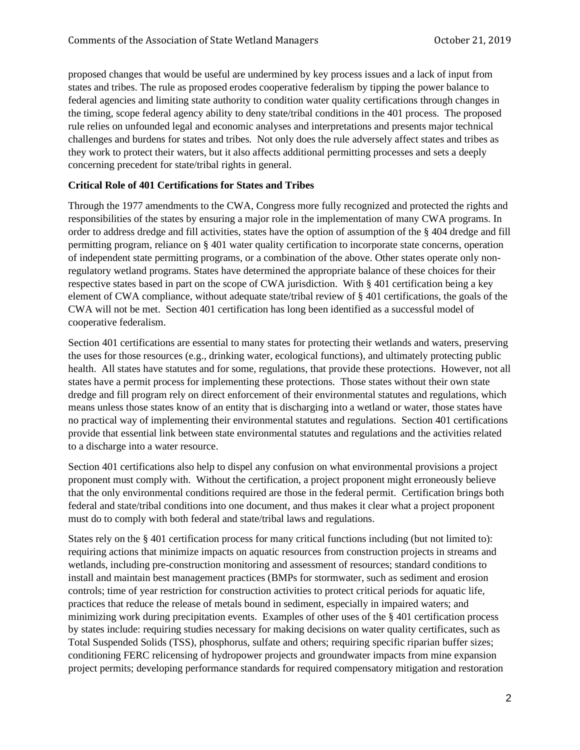proposed changes that would be useful are undermined by key process issues and a lack of input from states and tribes. The rule as proposed erodes cooperative federalism by tipping the power balance to federal agencies and limiting state authority to condition water quality certifications through changes in the timing, scope federal agency ability to deny state/tribal conditions in the 401 process. The proposed rule relies on unfounded legal and economic analyses and interpretations and presents major technical challenges and burdens for states and tribes. Not only does the rule adversely affect states and tribes as they work to protect their waters, but it also affects additional permitting processes and sets a deeply concerning precedent for state/tribal rights in general.

# **Critical Role of 401 Certifications for States and Tribes**

Through the 1977 amendments to the CWA, Congress more fully recognized and protected the rights and responsibilities of the states by ensuring a major role in the implementation of many CWA programs. In order to address dredge and fill activities, states have the option of assumption of the § 404 dredge and fill permitting program, reliance on § 401 water quality certification to incorporate state concerns, operation of independent state permitting programs, or a combination of the above. Other states operate only nonregulatory wetland programs. States have determined the appropriate balance of these choices for their respective states based in part on the scope of CWA jurisdiction. With § 401 certification being a key element of CWA compliance, without adequate state/tribal review of § 401 certifications, the goals of the CWA will not be met. Section 401 certification has long been identified as a successful model of cooperative federalism.

Section 401 certifications are essential to many states for protecting their wetlands and waters, preserving the uses for those resources (e.g., drinking water, ecological functions), and ultimately protecting public health. All states have statutes and for some, regulations, that provide these protections. However, not all states have a permit process for implementing these protections. Those states without their own state dredge and fill program rely on direct enforcement of their environmental statutes and regulations, which means unless those states know of an entity that is discharging into a wetland or water, those states have no practical way of implementing their environmental statutes and regulations. Section 401 certifications provide that essential link between state environmental statutes and regulations and the activities related to a discharge into a water resource.

Section 401 certifications also help to dispel any confusion on what environmental provisions a project proponent must comply with. Without the certification, a project proponent might erroneously believe that the only environmental conditions required are those in the federal permit. Certification brings both federal and state/tribal conditions into one document, and thus makes it clear what a project proponent must do to comply with both federal and state/tribal laws and regulations.

States rely on the § 401 certification process for many critical functions including (but not limited to): requiring actions that minimize impacts on aquatic resources from construction projects in streams and wetlands, including pre-construction monitoring and assessment of resources; standard conditions to install and maintain best management practices (BMPs for stormwater, such as sediment and erosion controls; time of year restriction for construction activities to protect critical periods for aquatic life, practices that reduce the release of metals bound in sediment, especially in impaired waters; and minimizing work during precipitation events. Examples of other uses of the § 401 certification process by states include: requiring studies necessary for making decisions on water quality certificates, such as Total Suspended Solids (TSS), phosphorus, sulfate and others; requiring specific riparian buffer sizes; conditioning FERC relicensing of hydropower projects and groundwater impacts from mine expansion project permits; developing performance standards for required compensatory mitigation and restoration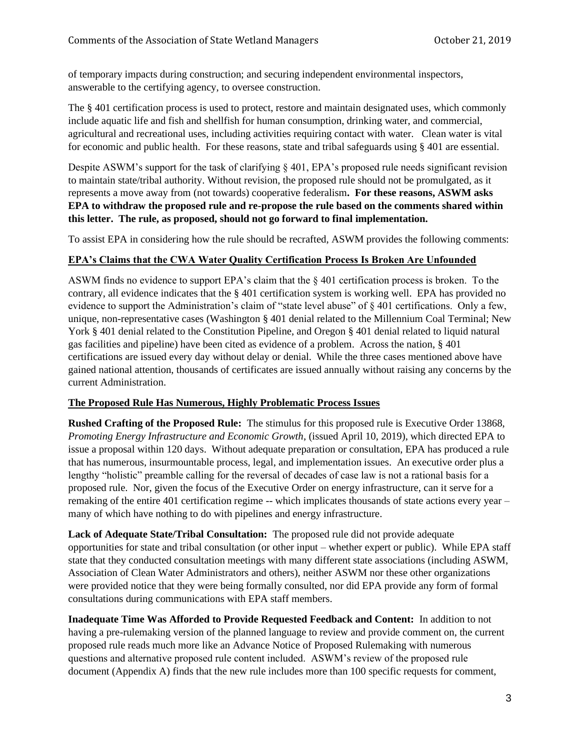of temporary impacts during construction; and securing independent environmental inspectors, answerable to the certifying agency, to oversee construction.

The § 401 certification process is used to protect, restore and maintain designated uses, which commonly include aquatic life and fish and shellfish for human consumption, drinking water, and commercial, agricultural and recreational uses, including activities requiring contact with water. Clean water is vital for economic and public health. For these reasons, state and tribal safeguards using § 401 are essential.

Despite ASWM's support for the task of clarifying § 401, EPA's proposed rule needs significant revision to maintain state/tribal authority. Without revision, the proposed rule should not be promulgated, as it represents a move away from (not towards) cooperative federalism**. For these reasons, ASWM asks EPA to withdraw the proposed rule and re-propose the rule based on the comments shared within this letter. The rule, as proposed, should not go forward to final implementation.** 

To assist EPA in considering how the rule should be recrafted, ASWM provides the following comments:

# **EPA's Claims that the CWA Water Quality Certification Process Is Broken Are Unfounded**

ASWM finds no evidence to support EPA's claim that the § 401 certification process is broken. To the contrary, all evidence indicates that the § 401 certification system is working well. EPA has provided no evidence to support the Administration's claim of "state level abuse" of § 401 certifications. Only a few, unique, non-representative cases (Washington § 401 denial related to the Millennium Coal Terminal; New York § 401 denial related to the Constitution Pipeline, and Oregon § 401 denial related to liquid natural gas facilities and pipeline) have been cited as evidence of a problem. Across the nation, § 401 certifications are issued every day without delay or denial. While the three cases mentioned above have gained national attention, thousands of certificates are issued annually without raising any concerns by the current Administration.

## **The Proposed Rule Has Numerous, Highly Problematic Process Issues**

**Rushed Crafting of the Proposed Rule:** The stimulus for this proposed rule is Executive Order 13868, *Promoting Energy Infrastructure and Economic Growth*, (issued April 10, 2019), which directed EPA to issue a proposal within 120 days. Without adequate preparation or consultation, EPA has produced a rule that has numerous, insurmountable process, legal, and implementation issues. An executive order plus a lengthy "holistic" preamble calling for the reversal of decades of case law is not a rational basis for a proposed rule. Nor, given the focus of the Executive Order on energy infrastructure, can it serve for a remaking of the entire 401 certification regime -- which implicates thousands of state actions every year – many of which have nothing to do with pipelines and energy infrastructure.

**Lack of Adequate State/Tribal Consultation:** The proposed rule did not provide adequate opportunities for state and tribal consultation (or other input – whether expert or public). While EPA staff state that they conducted consultation meetings with many different state associations (including ASWM, Association of Clean Water Administrators and others), neither ASWM nor these other organizations were provided notice that they were being formally consulted, nor did EPA provide any form of formal consultations during communications with EPA staff members.

**Inadequate Time Was Afforded to Provide Requested Feedback and Content:** In addition to not having a pre-rulemaking version of the planned language to review and provide comment on, the current proposed rule reads much more like an Advance Notice of Proposed Rulemaking with numerous questions and alternative proposed rule content included. ASWM's review of the proposed rule document (Appendix A) finds that the new rule includes more than 100 specific requests for comment,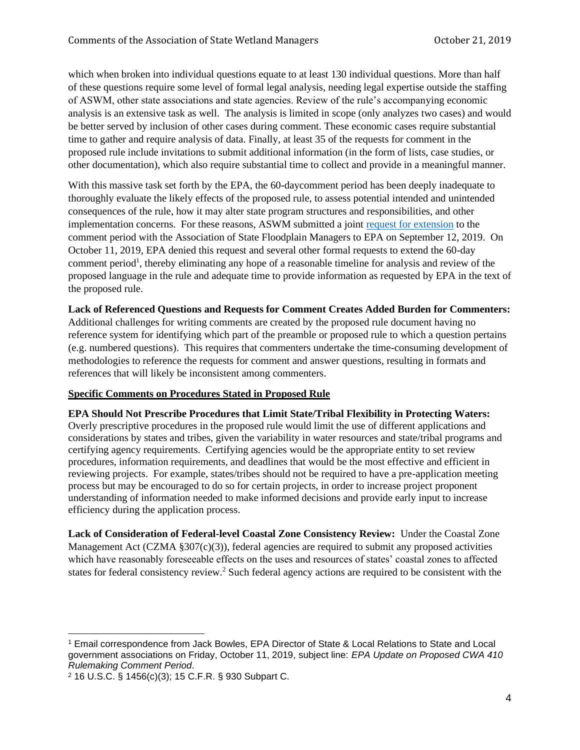which when broken into individual questions equate to at least 130 individual questions. More than half of these questions require some level of formal legal analysis, needing legal expertise outside the staffing of ASWM, other state associations and state agencies. Review of the rule's accompanying economic analysis is an extensive task as well. The analysis is limited in scope (only analyzes two cases) and would be better served by inclusion of other cases during comment. These economic cases require substantial time to gather and require analysis of data. Finally, at least 35 of the requests for comment in the proposed rule include invitations to submit additional information (in the form of lists, case studies, or other documentation), which also require substantial time to collect and provide in a meaningful manner.

With this massive task set forth by the EPA, the 60-day comment period has been deeply inadequate to thoroughly evaluate the likely effects of the proposed rule, to assess potential intended and unintended consequences of the rule, how it may alter state program structures and responsibilities, and other implementation concerns. For these reasons, ASWM submitted a joint [request for extension](https://www.aswm.org/pdf_lib/aswm_asfpm_request_for_extension_401_rule091219.pdf) to the comment period with the Association of State Floodplain Managers to EPA on September 12, 2019. On October 11, 2019, EPA denied this request and several other formal requests to extend the 60-day comment period<sup>1</sup>, thereby eliminating any hope of a reasonable timeline for analysis and review of the proposed language in the rule and adequate time to provide information as requested by EPA in the text of the proposed rule.

# **Lack of Referenced Questions and Requests for Comment Creates Added Burden for Commenters:**

Additional challenges for writing comments are created by the proposed rule document having no reference system for identifying which part of the preamble or proposed rule to which a question pertains (e.g. numbered questions). This requires that commenters undertake the time-consuming development of methodologies to reference the requests for comment and answer questions, resulting in formats and references that will likely be inconsistent among commenters.

## **Specific Comments on Procedures Stated in Proposed Rule**

**EPA Should Not Prescribe Procedures that Limit State/Tribal Flexibility in Protecting Waters:** Overly prescriptive procedures in the proposed rule would limit the use of different applications and considerations by states and tribes, given the variability in water resources and state/tribal programs and certifying agency requirements. Certifying agencies would be the appropriate entity to set review procedures, information requirements, and deadlines that would be the most effective and efficient in reviewing projects. For example, states/tribes should not be required to have a pre-application meeting process but may be encouraged to do so for certain projects, in order to increase project proponent understanding of information needed to make informed decisions and provide early input to increase efficiency during the application process.

**Lack of Consideration of Federal-level Coastal Zone Consistency Review:** Under the Coastal Zone Management Act (CZMA §307(c)(3)), federal agencies are required to submit any proposed activities which have reasonably foreseeable effects on the uses and resources of states' coastal zones to affected states for federal consistency review.<sup>2</sup> Such federal agency actions are required to be consistent with the

<sup>1</sup> Email correspondence from Jack Bowles, EPA Director of State & Local Relations to State and Local government associations on Friday, October 11, 2019, subject line: *EPA Update on Proposed CWA 410 Rulemaking Comment Period*.

<sup>2</sup> 16 U.S.C. § 1456(c)(3); 15 C.F.R. § 930 Subpart C.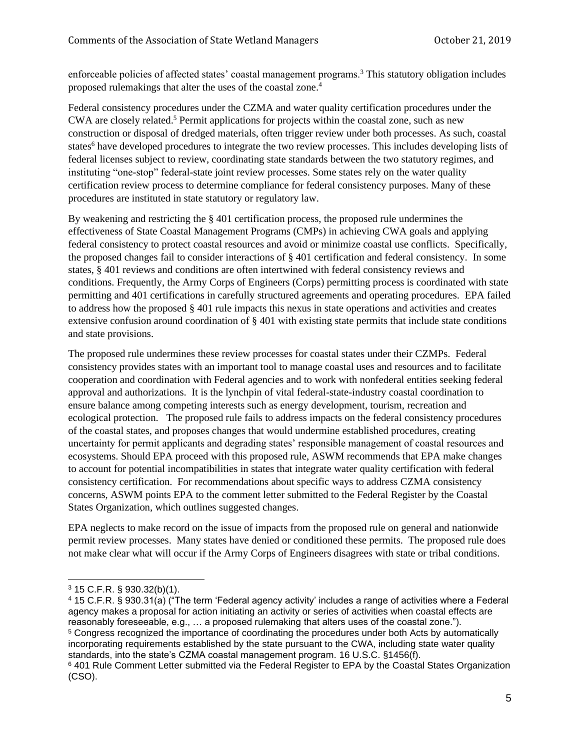enforceable policies of affected states' coastal management programs.<sup>3</sup> This statutory obligation includes proposed rulemakings that alter the uses of the coastal zone.<sup>4</sup>

Federal consistency procedures under the CZMA and water quality certification procedures under the CWA are closely related.<sup>5</sup> Permit applications for projects within the coastal zone, such as new construction or disposal of dredged materials, often trigger review under both processes. As such, coastal states<sup>6</sup> have developed procedures to integrate the two review processes. This includes developing lists of federal licenses subject to review, coordinating state standards between the two statutory regimes, and instituting "one-stop" federal-state joint review processes. Some states rely on the water quality certification review process to determine compliance for federal consistency purposes. Many of these procedures are instituted in state statutory or regulatory law.

By weakening and restricting the § 401 certification process, the proposed rule undermines the effectiveness of State Coastal Management Programs (CMPs) in achieving CWA goals and applying federal consistency to protect coastal resources and avoid or minimize coastal use conflicts. Specifically, the proposed changes fail to consider interactions of § 401 certification and federal consistency. In some states, § 401 reviews and conditions are often intertwined with federal consistency reviews and conditions. Frequently, the Army Corps of Engineers (Corps) permitting process is coordinated with state permitting and 401 certifications in carefully structured agreements and operating procedures. EPA failed to address how the proposed § 401 rule impacts this nexus in state operations and activities and creates extensive confusion around coordination of § 401 with existing state permits that include state conditions and state provisions.

The proposed rule undermines these review processes for coastal states under their CZMPs. Federal consistency provides states with an important tool to manage coastal uses and resources and to facilitate cooperation and coordination with Federal agencies and to work with nonfederal entities seeking federal approval and authorizations. It is the lynchpin of vital federal-state-industry coastal coordination to ensure balance among competing interests such as energy development, tourism, recreation and ecological protection. The proposed rule fails to address impacts on the federal consistency procedures of the coastal states, and proposes changes that would undermine established procedures, creating uncertainty for permit applicants and degrading states' responsible management of coastal resources and ecosystems. Should EPA proceed with this proposed rule, ASWM recommends that EPA make changes to account for potential incompatibilities in states that integrate water quality certification with federal consistency certification. For recommendations about specific ways to address CZMA consistency concerns, ASWM points EPA to the comment letter submitted to the Federal Register by the Coastal States Organization, which outlines suggested changes.

EPA neglects to make record on the issue of impacts from the proposed rule on general and nationwide permit review processes. Many states have denied or conditioned these permits. The proposed rule does not make clear what will occur if the Army Corps of Engineers disagrees with state or tribal conditions.

<sup>3</sup> 15 C.F.R. § 930.32(b)(1).

<sup>4</sup> 15 C.F.R. § 930.31(a) ("The term 'Federal agency activity' includes a range of activities where a Federal agency makes a proposal for action initiating an activity or series of activities when coastal effects are reasonably foreseeable, e.g., … a proposed rulemaking that alters uses of the coastal zone."). <sup>5</sup> Congress recognized the importance of coordinating the procedures under both Acts by automatically incorporating requirements established by the state pursuant to the CWA, including state water quality standards, into the state's CZMA coastal management program. 16 U.S.C. §1456(f).

<sup>6</sup> 401 Rule Comment Letter submitted via the Federal Register to EPA by the Coastal States Organization (CSO).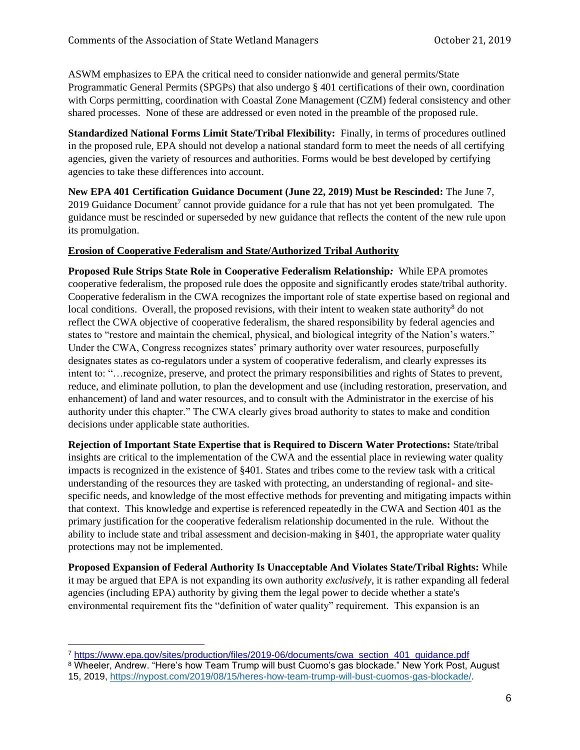ASWM emphasizes to EPA the critical need to consider nationwide and general permits/State Programmatic General Permits (SPGPs) that also undergo § 401 certifications of their own, coordination with Corps permitting, coordination with Coastal Zone Management (CZM) federal consistency and other shared processes. None of these are addressed or even noted in the preamble of the proposed rule.

**Standardized National Forms Limit State/Tribal Flexibility:** Finally, in terms of procedures outlined in the proposed rule, EPA should not develop a national standard form to meet the needs of all certifying agencies, given the variety of resources and authorities. Forms would be best developed by certifying agencies to take these differences into account.

**New EPA 401 Certification Guidance Document (June 22, 2019) Must be Rescinded:** The June 7, 2019 Guidance Document<sup>7</sup> cannot provide guidance for a rule that has not yet been promulgated. The guidance must be rescinded or superseded by new guidance that reflects the content of the new rule upon its promulgation.

# **Erosion of Cooperative Federalism and State/Authorized Tribal Authority**

**Proposed Rule Strips State Role in Cooperative Federalism Relationship***:* While EPA promotes cooperative federalism, the proposed rule does the opposite and significantly erodes state/tribal authority. Cooperative federalism in the CWA recognizes the important role of state expertise based on regional and local conditions. Overall, the proposed revisions, with their intent to weaken state authority<sup>8</sup> do not reflect the CWA objective of cooperative federalism, the shared responsibility by federal agencies and states to "restore and maintain the chemical, physical, and biological integrity of the Nation's waters." Under the CWA, Congress recognizes states' primary authority over water resources, purposefully designates states as co-regulators under a system of cooperative federalism, and clearly expresses its intent to: "…recognize, preserve, and protect the primary responsibilities and rights of States to prevent, reduce, and eliminate pollution, to plan the development and use (including restoration, preservation, and enhancement) of land and water resources, and to consult with the Administrator in the exercise of his authority under this chapter." The CWA clearly gives broad authority to states to make and condition decisions under applicable state authorities.

**Rejection of Important State Expertise that is Required to Discern Water Protections:** State/tribal insights are critical to the implementation of the CWA and the essential place in reviewing water quality impacts is recognized in the existence of §401. States and tribes come to the review task with a critical understanding of the resources they are tasked with protecting, an understanding of regional- and sitespecific needs, and knowledge of the most effective methods for preventing and mitigating impacts within that context. This knowledge and expertise is referenced repeatedly in the CWA and Section 401 as the primary justification for the cooperative federalism relationship documented in the rule. Without the ability to include state and tribal assessment and decision-making in §401, the appropriate water quality protections may not be implemented.

**Proposed Expansion of Federal Authority Is Unacceptable And Violates State/Tribal Rights:** While it may be argued that EPA is not expanding its own authority *exclusively*, it is rather expanding all federal agencies (including EPA) authority by giving them the legal power to decide whether a state's environmental requirement fits the "definition of water quality" requirement. This expansion is an

<sup>7</sup> [https://www.epa.gov/sites/production/files/2019-06/documents/cwa\\_section\\_401\\_guidance.pdf](https://www.epa.gov/sites/production/files/2019-06/documents/cwa_section_401_guidance.pdf)

<sup>&</sup>lt;sup>8</sup> Wheeler, Andrew. "Here's how Team Trump will bust Cuomo's gas blockade." New York Post, August 15, 2019, [https://nypost.com/2019/08/15/heres-how-team-trump-will-bust-cuomos-gas-blockade/.](https://nypost.com/2019/08/15/heres-how-team-trump-will-bust-cuomos-gas-blockade/)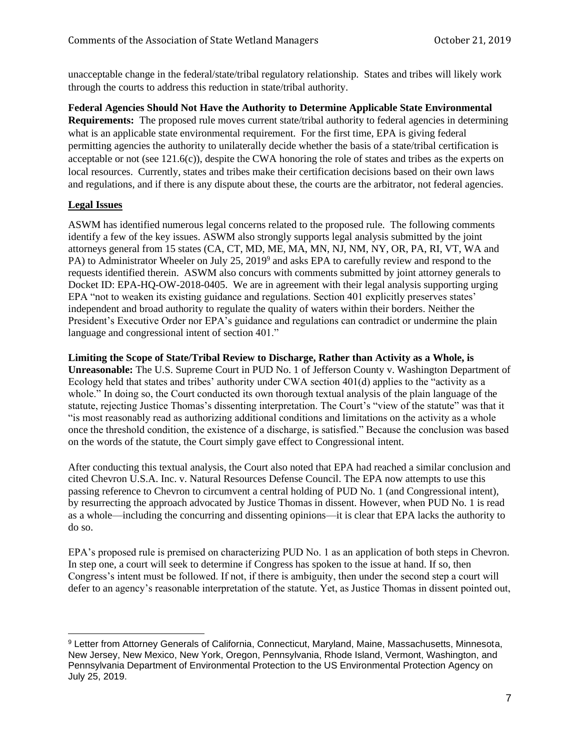unacceptable change in the federal/state/tribal regulatory relationship. States and tribes will likely work through the courts to address this reduction in state/tribal authority.

**Federal Agencies Should Not Have the Authority to Determine Applicable State Environmental Requirements:** The proposed rule moves current state/tribal authority to federal agencies in determining what is an applicable state environmental requirement. For the first time, EPA is giving federal permitting agencies the authority to unilaterally decide whether the basis of a state/tribal certification is acceptable or not (see  $121.6(c)$ ), despite the CWA honoring the role of states and tribes as the experts on local resources. Currently, states and tribes make their certification decisions based on their own laws and regulations, and if there is any dispute about these, the courts are the arbitrator, not federal agencies.

## **Legal Issues**

ASWM has identified numerous legal concerns related to the proposed rule. The following comments identify a few of the key issues. ASWM also strongly supports legal analysis submitted by the joint attorneys general from 15 states (CA, CT, MD, ME, MA, MN, NJ, NM, NY, OR, PA, RI, VT, WA and PA) to Administrator Wheeler on July 25, 2019<sup>9</sup> and asks EPA to carefully review and respond to the requests identified therein. ASWM also concurs with comments submitted by joint attorney generals to Docket ID: EPA-HQ-OW-2018-0405. We are in agreement with their legal analysis supporting urging EPA "not to weaken its existing guidance and regulations. Section 401 explicitly preserves states' independent and broad authority to regulate the quality of waters within their borders. Neither the President's Executive Order nor EPA's guidance and regulations can contradict or undermine the plain language and congressional intent of section 401."

**Limiting the Scope of State/Tribal Review to Discharge, Rather than Activity as a Whole, is** 

**Unreasonable:** The U.S. Supreme Court in PUD No. 1 of Jefferson County v. Washington Department of Ecology held that states and tribes' authority under CWA section 401(d) applies to the "activity as a whole." In doing so, the Court conducted its own thorough textual analysis of the plain language of the statute, rejecting Justice Thomas's dissenting interpretation. The Court's "view of the statute" was that it "is most reasonably read as authorizing additional conditions and limitations on the activity as a whole once the threshold condition, the existence of a discharge, is satisfied." Because the conclusion was based on the words of the statute, the Court simply gave effect to Congressional intent.

After conducting this textual analysis, the Court also noted that EPA had reached a similar conclusion and cited Chevron U.S.A. Inc. v. Natural Resources Defense Council. The EPA now attempts to use this passing reference to Chevron to circumvent a central holding of PUD No. 1 (and Congressional intent), by resurrecting the approach advocated by Justice Thomas in dissent. However, when PUD No. 1 is read as a whole—including the concurring and dissenting opinions—it is clear that EPA lacks the authority to do so.

EPA's proposed rule is premised on characterizing PUD No. 1 as an application of both steps in Chevron. In step one, a court will seek to determine if Congress has spoken to the issue at hand. If so, then Congress's intent must be followed. If not, if there is ambiguity, then under the second step a court will defer to an agency's reasonable interpretation of the statute. Yet, as Justice Thomas in dissent pointed out,

<sup>9</sup> Letter from Attorney Generals of California, Connecticut, Maryland, Maine, Massachusetts, Minnesota, New Jersey, New Mexico, New York, Oregon, Pennsylvania, Rhode Island, Vermont, Washington, and Pennsylvania Department of Environmental Protection to the US Environmental Protection Agency on July 25, 2019.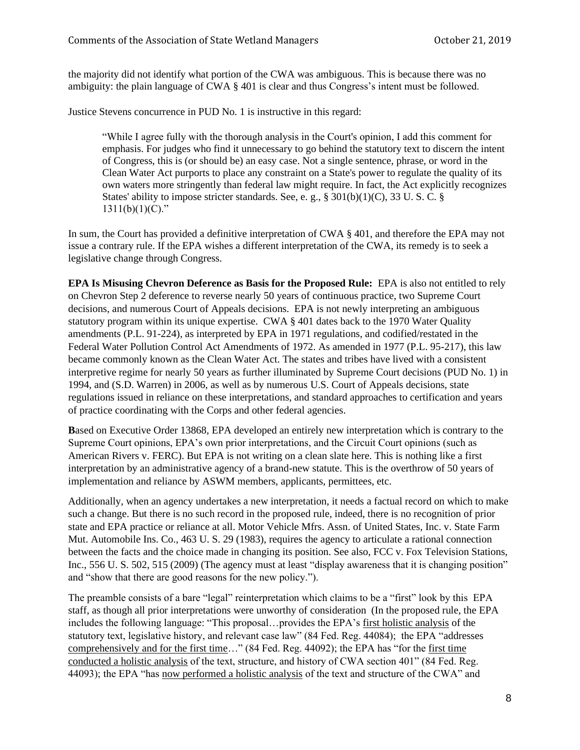the majority did not identify what portion of the CWA was ambiguous. This is because there was no ambiguity: the plain language of CWA § 401 is clear and thus Congress's intent must be followed.

Justice Stevens concurrence in PUD No. 1 is instructive in this regard:

"While I agree fully with the thorough analysis in the Court's opinion, I add this comment for emphasis. For judges who find it unnecessary to go behind the statutory text to discern the intent of Congress, this is (or should be) an easy case. Not a single sentence, phrase, or word in the Clean Water Act purports to place any constraint on a State's power to regulate the quality of its own waters more stringently than federal law might require. In fact, the Act explicitly recognizes States' ability to impose stricter standards. See, e. g.,  $\S 301(b)(1)(C)$ , 33 U.S.C.  $\S$  $1311(b)(1)(C)$ ."

In sum, the Court has provided a definitive interpretation of CWA § 401, and therefore the EPA may not issue a contrary rule. If the EPA wishes a different interpretation of the CWA, its remedy is to seek a legislative change through Congress.

**EPA Is Misusing Chevron Deference as Basis for the Proposed Rule:** EPA is also not entitled to rely on Chevron Step 2 deference to reverse nearly 50 years of continuous practice, two Supreme Court decisions, and numerous Court of Appeals decisions. EPA is not newly interpreting an ambiguous statutory program within its unique expertise. CWA § 401 dates back to the 1970 Water Quality amendments (P.L. 91-224), as interpreted by EPA in 1971 regulations, and codified/restated in the Federal Water Pollution Control Act Amendments of 1972. As amended in 1977 (P.L. 95-217), this law became commonly known as the Clean Water Act. The states and tribes have lived with a consistent interpretive regime for nearly 50 years as further illuminated by Supreme Court decisions (PUD No. 1) in 1994, and (S.D. Warren) in 2006, as well as by numerous U.S. Court of Appeals decisions, state regulations issued in reliance on these interpretations, and standard approaches to certification and years of practice coordinating with the Corps and other federal agencies.

**B**ased on Executive Order 13868, EPA developed an entirely new interpretation which is contrary to the Supreme Court opinions, EPA's own prior interpretations, and the Circuit Court opinions (such as American Rivers v. FERC). But EPA is not writing on a clean slate here. This is nothing like a first interpretation by an administrative agency of a brand-new statute. This is the overthrow of 50 years of implementation and reliance by ASWM members, applicants, permittees, etc.

Additionally, when an agency undertakes a new interpretation, it needs a factual record on which to make such a change. But there is no such record in the proposed rule, indeed, there is no recognition of prior state and EPA practice or reliance at all. Motor Vehicle Mfrs. Assn. of United States, Inc. v. State Farm Mut. Automobile Ins. Co., 463 U. S. 29 (1983), requires the agency to articulate a rational connection between the facts and the choice made in changing its position. See also, FCC v. Fox Television Stations, Inc., 556 U. S. 502, 515 (2009) (The agency must at least "display awareness that it is changing position" and "show that there are good reasons for the new policy.").

The preamble consists of a bare "legal" reinterpretation which claims to be a "first" look by this EPA staff, as though all prior interpretations were unworthy of consideration (In the proposed rule, the EPA includes the following language: "This proposal…provides the EPA's first holistic analysis of the statutory text, legislative history, and relevant case law" (84 Fed. Reg. 44084); the EPA "addresses comprehensively and for the first time…" (84 Fed. Reg. 44092); the EPA has "for the first time conducted a holistic analysis of the text, structure, and history of CWA section 401" (84 Fed. Reg. 44093); the EPA "has now performed a holistic analysis of the text and structure of the CWA" and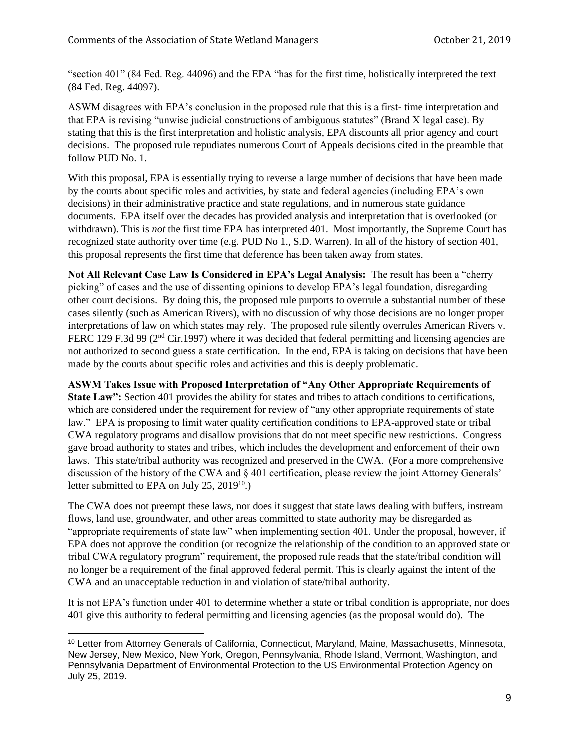"section 401" (84 Fed. Reg. 44096) and the EPA "has for the first time, holistically interpreted the text (84 Fed. Reg. 44097).

ASWM disagrees with EPA's conclusion in the proposed rule that this is a first- time interpretation and that EPA is revising "unwise judicial constructions of ambiguous statutes" (Brand X legal case). By stating that this is the first interpretation and holistic analysis, EPA discounts all prior agency and court decisions. The proposed rule repudiates numerous Court of Appeals decisions cited in the preamble that follow PUD No. 1.

With this proposal, EPA is essentially trying to reverse a large number of decisions that have been made by the courts about specific roles and activities, by state and federal agencies (including EPA's own decisions) in their administrative practice and state regulations, and in numerous state guidance documents. EPA itself over the decades has provided analysis and interpretation that is overlooked (or withdrawn). This is *not* the first time EPA has interpreted 401. Most importantly, the Supreme Court has recognized state authority over time (e.g. PUD No 1., S.D. Warren). In all of the history of section 401, this proposal represents the first time that deference has been taken away from states.

**Not All Relevant Case Law Is Considered in EPA's Legal Analysis:** The result has been a "cherry picking" of cases and the use of dissenting opinions to develop EPA's legal foundation, disregarding other court decisions. By doing this, the proposed rule purports to overrule a substantial number of these cases silently (such as American Rivers), with no discussion of why those decisions are no longer proper interpretations of law on which states may rely. The proposed rule silently overrules American Rivers v. FERC 129 F.3d 99 (2<sup>nd</sup> Cir.1997) where it was decided that federal permitting and licensing agencies are not authorized to second guess a state certification. In the end, EPA is taking on decisions that have been made by the courts about specific roles and activities and this is deeply problematic.

**ASWM Takes Issue with Proposed Interpretation of "Any Other Appropriate Requirements of State Law":** Section 401 provides the ability for states and tribes to attach conditions to certifications, which are considered under the requirement for review of "any other appropriate requirements of state" law." EPA is proposing to limit water quality certification conditions to EPA-approved state or tribal CWA regulatory programs and disallow provisions that do not meet specific new restrictions. Congress gave broad authority to states and tribes, which includes the development and enforcement of their own laws. This state/tribal authority was recognized and preserved in the CWA. (For a more comprehensive discussion of the history of the CWA and § 401 certification, please review the joint Attorney Generals' letter submitted to EPA on July 25,  $2019^{10}$ .)

The CWA does not preempt these laws, nor does it suggest that state laws dealing with buffers, instream flows, land use, groundwater, and other areas committed to state authority may be disregarded as "appropriate requirements of state law" when implementing section 401. Under the proposal, however, if EPA does not approve the condition (or recognize the relationship of the condition to an approved state or tribal CWA regulatory program" requirement, the proposed rule reads that the state/tribal condition will no longer be a requirement of the final approved federal permit. This is clearly against the intent of the CWA and an unacceptable reduction in and violation of state/tribal authority.

It is not EPA's function under 401 to determine whether a state or tribal condition is appropriate, nor does 401 give this authority to federal permitting and licensing agencies (as the proposal would do). The

<sup>10</sup> Letter from Attorney Generals of California, Connecticut, Maryland, Maine, Massachusetts, Minnesota, New Jersey, New Mexico, New York, Oregon, Pennsylvania, Rhode Island, Vermont, Washington, and Pennsylvania Department of Environmental Protection to the US Environmental Protection Agency on July 25, 2019.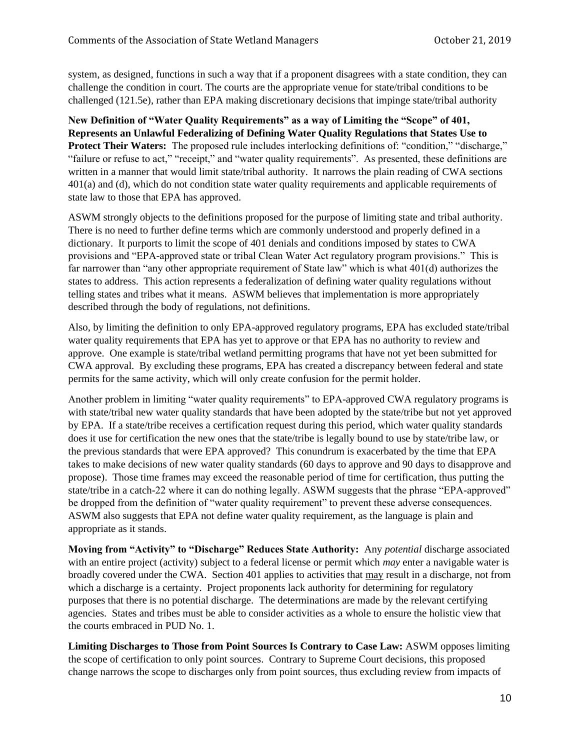system, as designed, functions in such a way that if a proponent disagrees with a state condition, they can challenge the condition in court. The courts are the appropriate venue for state/tribal conditions to be challenged (121.5e), rather than EPA making discretionary decisions that impinge state/tribal authority

**New Definition of "Water Quality Requirements" as a way of Limiting the "Scope" of 401, Represents an Unlawful Federalizing of Defining Water Quality Regulations that States Use to Protect Their Waters:** The proposed rule includes interlocking definitions of: "condition," "discharge," "failure or refuse to act," "receipt," and "water quality requirements". As presented, these definitions are written in a manner that would limit state/tribal authority. It narrows the plain reading of CWA sections 401(a) and (d), which do not condition state water quality requirements and applicable requirements of state law to those that EPA has approved.

ASWM strongly objects to the definitions proposed for the purpose of limiting state and tribal authority. There is no need to further define terms which are commonly understood and properly defined in a dictionary. It purports to limit the scope of 401 denials and conditions imposed by states to CWA provisions and "EPA-approved state or tribal Clean Water Act regulatory program provisions." This is far narrower than "any other appropriate requirement of State law" which is what 401(d) authorizes the states to address. This action represents a federalization of defining water quality regulations without telling states and tribes what it means. ASWM believes that implementation is more appropriately described through the body of regulations, not definitions.

Also, by limiting the definition to only EPA-approved regulatory programs, EPA has excluded state/tribal water quality requirements that EPA has yet to approve or that EPA has no authority to review and approve. One example is state/tribal wetland permitting programs that have not yet been submitted for CWA approval. By excluding these programs, EPA has created a discrepancy between federal and state permits for the same activity, which will only create confusion for the permit holder.

Another problem in limiting "water quality requirements" to EPA-approved CWA regulatory programs is with state/tribal new water quality standards that have been adopted by the state/tribe but not yet approved by EPA. If a state/tribe receives a certification request during this period, which water quality standards does it use for certification the new ones that the state/tribe is legally bound to use by state/tribe law, or the previous standards that were EPA approved? This conundrum is exacerbated by the time that EPA takes to make decisions of new water quality standards (60 days to approve and 90 days to disapprove and propose). Those time frames may exceed the reasonable period of time for certification, thus putting the state/tribe in a catch-22 where it can do nothing legally. ASWM suggests that the phrase "EPA-approved" be dropped from the definition of "water quality requirement" to prevent these adverse consequences. ASWM also suggests that EPA not define water quality requirement, as the language is plain and appropriate as it stands.

**Moving from "Activity" to "Discharge" Reduces State Authority:** Any *potential* discharge associated with an entire project (activity) subject to a federal license or permit which *may* enter a navigable water is broadly covered under the CWA. Section 401 applies to activities that may result in a discharge, not from which a discharge is a certainty. Project proponents lack authority for determining for regulatory purposes that there is no potential discharge. The determinations are made by the relevant certifying agencies. States and tribes must be able to consider activities as a whole to ensure the holistic view that the courts embraced in PUD No. 1.

**Limiting Discharges to Those from Point Sources Is Contrary to Case Law:** ASWM opposes limiting the scope of certification to only point sources. Contrary to Supreme Court decisions, this proposed change narrows the scope to discharges only from point sources, thus excluding review from impacts of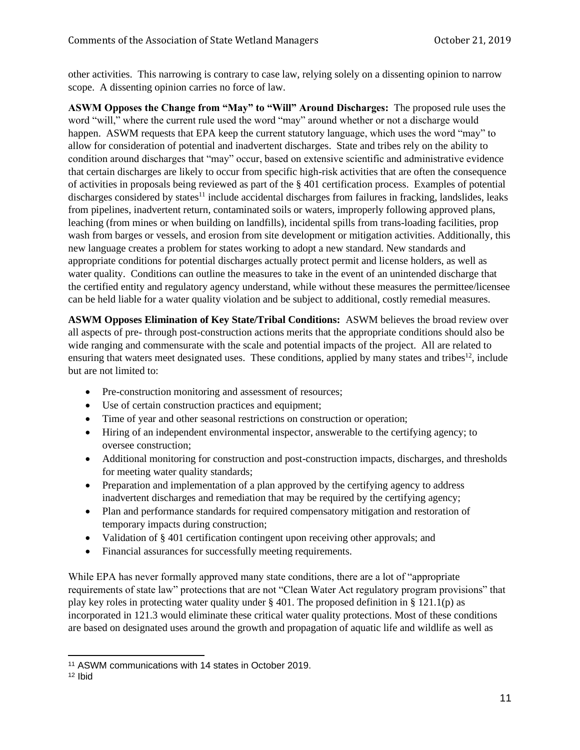other activities. This narrowing is contrary to case law, relying solely on a dissenting opinion to narrow scope. A dissenting opinion carries no force of law.

**ASWM Opposes the Change from "May" to "Will" Around Discharges:**The proposed rule uses the word "will," where the current rule used the word "may" around whether or not a discharge would happen. ASWM requests that EPA keep the current statutory language, which uses the word "may" to allow for consideration of potential and inadvertent discharges. State and tribes rely on the ability to condition around discharges that "may" occur, based on extensive scientific and administrative evidence that certain discharges are likely to occur from specific high-risk activities that are often the consequence of activities in proposals being reviewed as part of the § 401 certification process. Examples of potential discharges considered by states<sup>11</sup> include accidental discharges from failures in fracking, landslides, leaks from pipelines, inadvertent return, contaminated soils or waters, improperly following approved plans, leaching (from mines or when building on landfills), incidental spills from trans-loading facilities, prop wash from barges or vessels, and erosion from site development or mitigation activities. Additionally, this new language creates a problem for states working to adopt a new standard. New standards and appropriate conditions for potential discharges actually protect permit and license holders, as well as water quality. Conditions can outline the measures to take in the event of an unintended discharge that the certified entity and regulatory agency understand, while without these measures the permittee/licensee can be held liable for a water quality violation and be subject to additional, costly remedial measures.

**ASWM Opposes Elimination of Key State/Tribal Conditions:**ASWM believes the broad review over all aspects of pre- through post-construction actions merits that the appropriate conditions should also be wide ranging and commensurate with the scale and potential impacts of the project. All are related to ensuring that waters meet designated uses. These conditions, applied by many states and tribes<sup>12</sup>, include but are not limited to:

- Pre-construction monitoring and assessment of resources;
- Use of certain construction practices and equipment;
- Time of year and other seasonal restrictions on construction or operation;
- Hiring of an independent environmental inspector, answerable to the certifying agency; to oversee construction;
- Additional monitoring for construction and post-construction impacts, discharges, and thresholds for meeting water quality standards;
- Preparation and implementation of a plan approved by the certifying agency to address inadvertent discharges and remediation that may be required by the certifying agency;
- Plan and performance standards for required compensatory mitigation and restoration of temporary impacts during construction;
- Validation of §401 certification contingent upon receiving other approvals; and
- Financial assurances for successfully meeting requirements.

While EPA has never formally approved many state conditions, there are a lot of "appropriate" requirements of state law" protections that are not "Clean Water Act regulatory program provisions" that play key roles in protecting water quality under  $\S$  401. The proposed definition in  $\S$  121.1(p) as incorporated in 121.3 would eliminate these critical water quality protections. Most of these conditions are based on designated uses around the growth and propagation of aquatic life and wildlife as well as

<sup>11</sup> ASWM communications with 14 states in October 2019.

 $12$  Ibid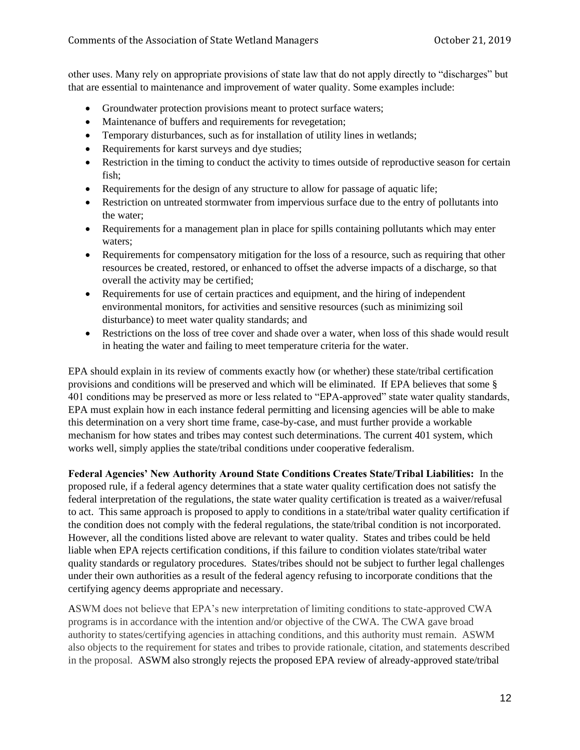other uses. Many rely on appropriate provisions of state law that do not apply directly to "discharges" but that are essential to maintenance and improvement of water quality. Some examples include:

- Groundwater protection provisions meant to protect surface waters;
- Maintenance of buffers and requirements for revegetation;
- Temporary disturbances, such as for installation of utility lines in wetlands;
- Requirements for karst surveys and dye studies;
- Restriction in the timing to conduct the activity to times outside of reproductive season for certain fish;
- Requirements for the design of any structure to allow for passage of aquatic life;
- Restriction on untreated stormwater from impervious surface due to the entry of pollutants into the water;
- Requirements for a management plan in place for spills containing pollutants which may enter waters;
- Requirements for compensatory mitigation for the loss of a resource, such as requiring that other resources be created, restored, or enhanced to offset the adverse impacts of a discharge, so that overall the activity may be certified;
- Requirements for use of certain practices and equipment, and the hiring of independent environmental monitors, for activities and sensitive resources (such as minimizing soil disturbance) to meet water quality standards; and
- Restrictions on the loss of tree cover and shade over a water, when loss of this shade would result in heating the water and failing to meet temperature criteria for the water.

EPA should explain in its review of comments exactly how (or whether) these state/tribal certification provisions and conditions will be preserved and which will be eliminated. If EPA believes that some § 401 conditions may be preserved as more or less related to "EPA-approved" state water quality standards, EPA must explain how in each instance federal permitting and licensing agencies will be able to make this determination on a very short time frame, case-by-case, and must further provide a workable mechanism for how states and tribes may contest such determinations. The current 401 system, which works well, simply applies the state/tribal conditions under cooperative federalism.

**Federal Agencies' New Authority Around State Conditions Creates State/Tribal Liabilities:**In the proposed rule, if a federal agency determines that a state water quality certification does not satisfy the federal interpretation of the regulations, the state water quality certification is treated as a waiver/refusal to act. This same approach is proposed to apply to conditions in a state/tribal water quality certification if the condition does not comply with the federal regulations, the state/tribal condition is not incorporated. However, all the conditions listed above are relevant to water quality. States and tribes could be held liable when EPA rejects certification conditions, if this failure to condition violates state/tribal water quality standards or regulatory procedures. States/tribes should not be subject to further legal challenges under their own authorities as a result of the federal agency refusing to incorporate conditions that the certifying agency deems appropriate and necessary.

ASWM does not believe that EPA's new interpretation of limiting conditions to state-approved CWA programs is in accordance with the intention and/or objective of the CWA. The CWA gave broad authority to states/certifying agencies in attaching conditions, and this authority must remain. ASWM also objects to the requirement for states and tribes to provide rationale, citation, and statements described in the proposal. ASWM also strongly rejects the proposed EPA review of already-approved state/tribal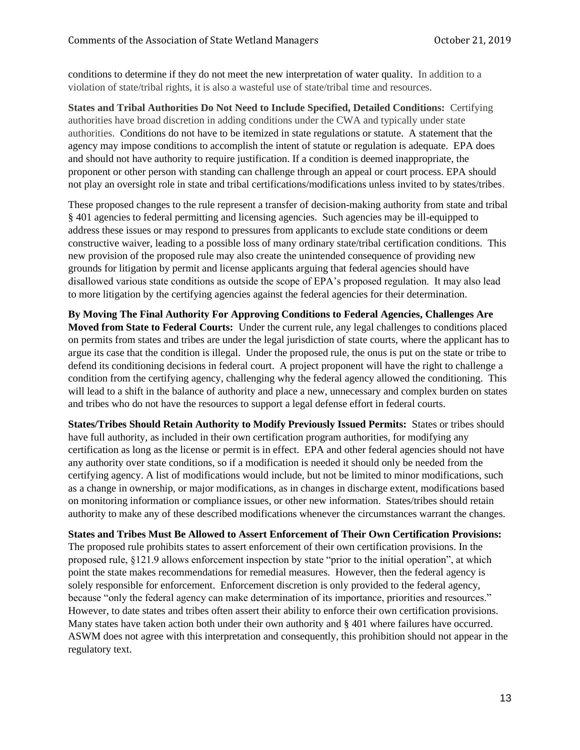conditions to determine if they do not meet the new interpretation of water quality. In addition to a violation of state/tribal rights, it is also a wasteful use of state/tribal time and resources.

**States and Tribal Authorities Do Not Need to Include Specified, Detailed Conditions:** Certifying authorities have broad discretion in adding conditions under the CWA and typically under state authorities. Conditions do not have to be itemized in state regulations or statute. A statement that the agency may impose conditions to accomplish the intent of statute or regulation is adequate. EPA does and should not have authority to require justification. If a condition is deemed inappropriate, the proponent or other person with standing can challenge through an appeal or court process. EPA should not play an oversight role in state and tribal certifications/modifications unless invited to by states/tribes.

These proposed changes to the rule represent a transfer of decision-making authority from state and tribal § 401 agencies to federal permitting and licensing agencies. Such agencies may be ill-equipped to address these issues or may respond to pressures from applicants to exclude state conditions or deem constructive waiver, leading to a possible loss of many ordinary state/tribal certification conditions. This new provision of the proposed rule may also create the unintended consequence of providing new grounds for litigation by permit and license applicants arguing that federal agencies should have disallowed various state conditions as outside the scope of EPA's proposed regulation. It may also lead to more litigation by the certifying agencies against the federal agencies for their determination.

**By Moving The Final Authority For Approving Conditions to Federal Agencies, Challenges Are Moved from State to Federal Courts:** Under the current rule, any legal challenges to conditions placed on permits from states and tribes are under the legal jurisdiction of state courts, where the applicant has to argue its case that the condition is illegal. Under the proposed rule, the onus is put on the state or tribe to defend its conditioning decisions in federal court. A project proponent will have the right to challenge a condition from the certifying agency, challenging why the federal agency allowed the conditioning. This will lead to a shift in the balance of authority and place a new, unnecessary and complex burden on states and tribes who do not have the resources to support a legal defense effort in federal courts.

**States/Tribes Should Retain Authority to Modify Previously Issued Permits:** States or tribes should have full authority, as included in their own certification program authorities, for modifying any certification as long as the license or permit is in effect. EPA and other federal agencies should not have any authority over state conditions, so if a modification is needed it should only be needed from the certifying agency. A list of modifications would include, but not be limited to minor modifications, such as a change in ownership, or major modifications, as in changes in discharge extent, modifications based on monitoring information or compliance issues, or other new information. States/tribes should retain authority to make any of these described modifications whenever the circumstances warrant the changes.

**States and Tribes Must Be Allowed to Assert Enforcement of Their Own Certification Provisions:** The proposed rule prohibits states to assert enforcement of their own certification provisions. In the proposed rule, §121.9 allows enforcement inspection by state "prior to the initial operation", at which point the state makes recommendations for remedial measures. However, then the federal agency is solely responsible for enforcement. Enforcement discretion is only provided to the federal agency, because "only the federal agency can make determination of its importance, priorities and resources." However, to date states and tribes often assert their ability to enforce their own certification provisions. Many states have taken action both under their own authority and § 401 where failures have occurred. ASWM does not agree with this interpretation and consequently, this prohibition should not appear in the regulatory text.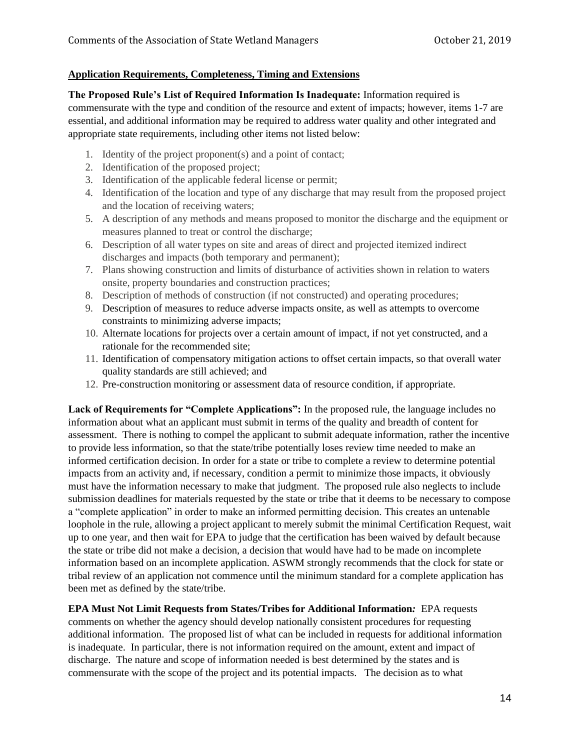## **Application Requirements, Completeness, Timing and Extensions**

**The Proposed Rule's List of Required Information Is Inadequate:** Information required is commensurate with the type and condition of the resource and extent of impacts; however, items 1-7 are essential, and additional information may be required to address water quality and other integrated and appropriate state requirements, including other items not listed below:

- 1. Identity of the project proponent(s) and a point of contact;
- 2. Identification of the proposed project;
- 3. Identification of the applicable federal license or permit;
- 4. Identification of the location and type of any discharge that may result from the proposed project and the location of receiving waters;
- 5. A description of any methods and means proposed to monitor the discharge and the equipment or measures planned to treat or control the discharge;
- 6. Description of all water types on site and areas of direct and projected itemized indirect discharges and impacts (both temporary and permanent);
- 7. Plans showing construction and limits of disturbance of activities shown in relation to waters onsite, property boundaries and construction practices;
- 8. Description of methods of construction (if not constructed) and operating procedures;
- 9. Description of measures to reduce adverse impacts onsite, as well as attempts to overcome constraints to minimizing adverse impacts;
- 10. Alternate locations for projects over a certain amount of impact, if not yet constructed, and a rationale for the recommended site;
- 11. Identification of compensatory mitigation actions to offset certain impacts, so that overall water quality standards are still achieved; and
- 12. Pre-construction monitoring or assessment data of resource condition, if appropriate.

**Lack of Requirements for "Complete Applications":** In the proposed rule, the language includes no information about what an applicant must submit in terms of the quality and breadth of content for assessment. There is nothing to compel the applicant to submit adequate information, rather the incentive to provide less information, so that the state/tribe potentially loses review time needed to make an informed certification decision. In order for a state or tribe to complete a review to determine potential impacts from an activity and, if necessary, condition a permit to minimize those impacts, it obviously must have the information necessary to make that judgment. The proposed rule also neglects to include submission deadlines for materials requested by the state or tribe that it deems to be necessary to compose a "complete application" in order to make an informed permitting decision. This creates an untenable loophole in the rule, allowing a project applicant to merely submit the minimal Certification Request, wait up to one year, and then wait for EPA to judge that the certification has been waived by default because the state or tribe did not make a decision, a decision that would have had to be made on incomplete information based on an incomplete application. ASWM strongly recommends that the clock for state or tribal review of an application not commence until the minimum standard for a complete application has been met as defined by the state/tribe.

**EPA Must Not Limit Requests from States/Tribes for Additional Information***:* EPA requests comments on whether the agency should develop nationally consistent procedures for requesting additional information. The proposed list of what can be included in requests for additional information is inadequate. In particular, there is not information required on the amount, extent and impact of discharge.The nature and scope of information needed is best determined by the states and is commensurate with the scope of the project and its potential impacts. The decision as to what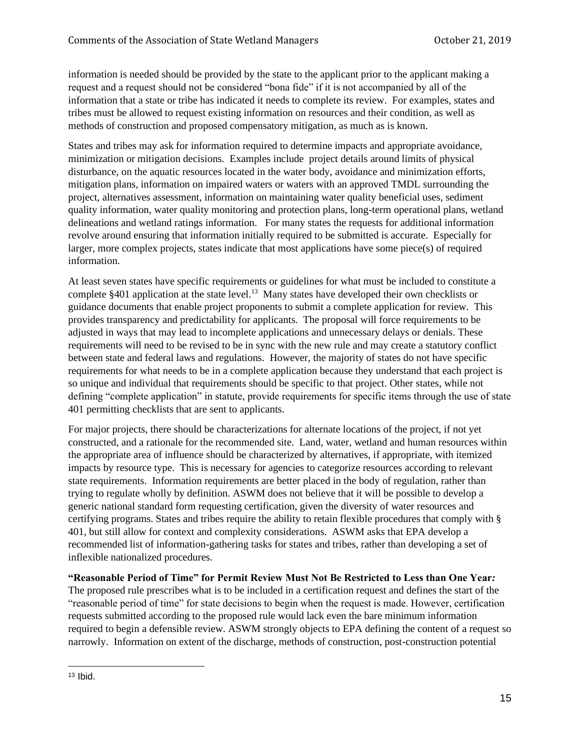information is needed should be provided by the state to the applicant prior to the applicant making a request and a request should not be considered "bona fide" if it is not accompanied by all of the information that a state or tribe has indicated it needs to complete its review. For examples, states and tribes must be allowed to request existing information on resources and their condition, as well as methods of construction and proposed compensatory mitigation, as much as is known.

States and tribes may ask for information required to determine impacts and appropriate avoidance, minimization or mitigation decisions. Examples include project details around limits of physical disturbance, on the aquatic resources located in the water body, avoidance and minimization efforts, mitigation plans, information on impaired waters or waters with an approved TMDL surrounding the project, alternatives assessment, information on maintaining water quality beneficial uses, sediment quality information, water quality monitoring and protection plans, long-term operational plans, wetland delineations and wetland ratings information. For many states the requests for additional information revolve around ensuring that information initially required to be submitted is accurate. Especially for larger, more complex projects, states indicate that most applications have some piece(s) of required information.

At least seven states have specific requirements or guidelines for what must be included to constitute a complete  $§$ 401 application at the state level.<sup>13</sup> Many states have developed their own checklists or guidance documents that enable project proponents to submit a complete application for review. This provides transparency and predictability for applicants. The proposal will force requirements to be adjusted in ways that may lead to incomplete applications and unnecessary delays or denials. These requirements will need to be revised to be in sync with the new rule and may create a statutory conflict between state and federal laws and regulations. However, the majority of states do not have specific requirements for what needs to be in a complete application because they understand that each project is so unique and individual that requirements should be specific to that project. Other states, while not defining "complete application" in statute, provide requirements for specific items through the use of state 401 permitting checklists that are sent to applicants.

For major projects, there should be characterizations for alternate locations of the project, if not yet constructed, and a rationale for the recommended site. Land, water, wetland and human resources within the appropriate area of influence should be characterized by alternatives, if appropriate, with itemized impacts by resource type. This is necessary for agencies to categorize resources according to relevant state requirements. Information requirements are better placed in the body of regulation, rather than trying to regulate wholly by definition. ASWM does not believe that it will be possible to develop a generic national standard form requesting certification, given the diversity of water resources and certifying programs. States and tribes require the ability to retain flexible procedures that comply with § 401, but still allow for context and complexity considerations. ASWM asks that EPA develop a recommended list of information-gathering tasks for states and tribes, rather than developing a set of inflexible nationalized procedures.

**"Reasonable Period of Time" for Permit Review Must Not Be Restricted to Less than One Year***:*  The proposed rule prescribes what is to be included in a certification request and defines the start of the "reasonable period of time" for state decisions to begin when the request is made. However, certification requests submitted according to the proposed rule would lack even the bare minimum information required to begin a defensible review. ASWM strongly objects to EPA defining the content of a request so narrowly. Information on extent of the discharge, methods of construction, post-construction potential

 $13$  Ibid.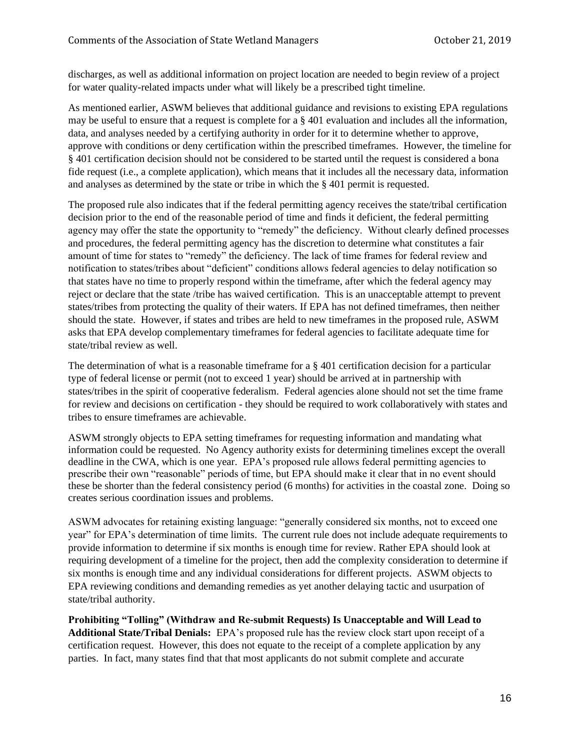discharges, as well as additional information on project location are needed to begin review of a project for water quality-related impacts under what will likely be a prescribed tight timeline.

As mentioned earlier, ASWM believes that additional guidance and revisions to existing EPA regulations may be useful to ensure that a request is complete for a § 401 evaluation and includes all the information, data, and analyses needed by a certifying authority in order for it to determine whether to approve, approve with conditions or deny certification within the prescribed timeframes. However, the timeline for § 401 certification decision should not be considered to be started until the request is considered a bona fide request (i.e., a complete application), which means that it includes all the necessary data, information and analyses as determined by the state or tribe in which the § 401 permit is requested.

The proposed rule also indicates that if the federal permitting agency receives the state/tribal certification decision prior to the end of the reasonable period of time and finds it deficient, the federal permitting agency may offer the state the opportunity to "remedy" the deficiency. Without clearly defined processes and procedures, the federal permitting agency has the discretion to determine what constitutes a fair amount of time for states to "remedy" the deficiency. The lack of time frames for federal review and notification to states/tribes about "deficient" conditions allows federal agencies to delay notification so that states have no time to properly respond within the timeframe, after which the federal agency may reject or declare that the state /tribe has waived certification. This is an unacceptable attempt to prevent states/tribes from protecting the quality of their waters. If EPA has not defined timeframes, then neither should the state. However, if states and tribes are held to new timeframes in the proposed rule, ASWM asks that EPA develop complementary timeframes for federal agencies to facilitate adequate time for state/tribal review as well.

The determination of what is a reasonable timeframe for a § 401 certification decision for a particular type of federal license or permit (not to exceed 1 year) should be arrived at in partnership with states/tribes in the spirit of cooperative federalism. Federal agencies alone should not set the time frame for review and decisions on certification - they should be required to work collaboratively with states and tribes to ensure timeframes are achievable.

ASWM strongly objects to EPA setting timeframes for requesting information and mandating what information could be requested. No Agency authority exists for determining timelines except the overall deadline in the CWA, which is one year. EPA's proposed rule allows federal permitting agencies to prescribe their own "reasonable" periods of time, but EPA should make it clear that in no event should these be shorter than the federal consistency period (6 months) for activities in the coastal zone. Doing so creates serious coordination issues and problems.

ASWM advocates for retaining existing language: "generally considered six months, not to exceed one year" for EPA's determination of time limits. The current rule does not include adequate requirements to provide information to determine if six months is enough time for review. Rather EPA should look at requiring development of a timeline for the project, then add the complexity consideration to determine if six months is enough time and any individual considerations for different projects. ASWM objects to EPA reviewing conditions and demanding remedies as yet another delaying tactic and usurpation of state/tribal authority.

**Prohibiting "Tolling" (Withdraw and Re-submit Requests) Is Unacceptable and Will Lead to Additional State/Tribal Denials:** EPA's proposed rule has the review clock start upon receipt of a certification request. However, this does not equate to the receipt of a complete application by any parties. In fact, many states find that that most applicants do not submit complete and accurate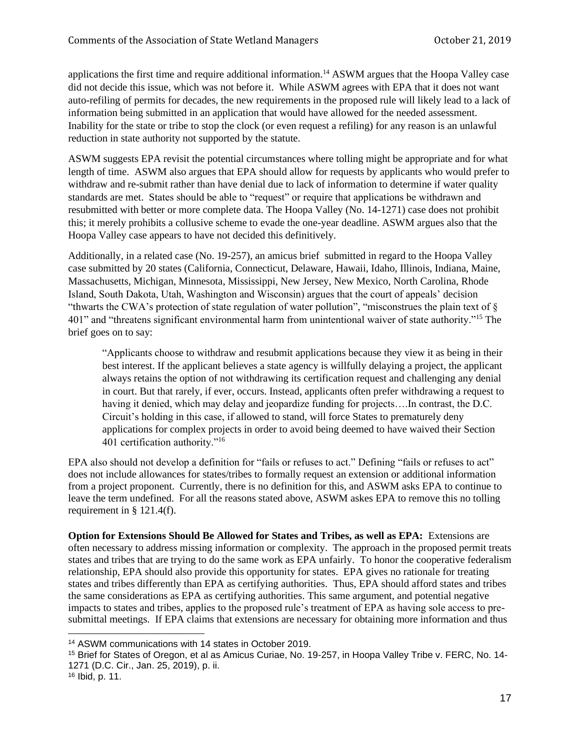applications the first time and require additional information.<sup>14</sup> ASWM argues that the Hoopa Valley case did not decide this issue, which was not before it. While ASWM agrees with EPA that it does not want auto-refiling of permits for decades, the new requirements in the proposed rule will likely lead to a lack of information being submitted in an application that would have allowed for the needed assessment. Inability for the state or tribe to stop the clock (or even request a refiling) for any reason is an unlawful reduction in state authority not supported by the statute.

ASWM suggests EPA revisit the potential circumstances where tolling might be appropriate and for what length of time. ASWM also argues that EPA should allow for requests by applicants who would prefer to withdraw and re-submit rather than have denial due to lack of information to determine if water quality standards are met. States should be able to "request" or require that applications be withdrawn and resubmitted with better or more complete data. The Hoopa Valley (No. 14-1271) case does not prohibit this; it merely prohibits a collusive scheme to evade the one-year deadline. ASWM argues also that the Hoopa Valley case appears to have not decided this definitively.

Additionally, in a related case (No. 19-257), an amicus brief submitted in regard to the Hoopa Valley case submitted by 20 states (California, Connecticut, Delaware, Hawaii, Idaho, Illinois, Indiana, Maine, Massachusetts, Michigan, Minnesota, Mississippi, New Jersey, New Mexico, North Carolina, Rhode Island, South Dakota, Utah, Washington and Wisconsin) argues that the court of appeals' decision "thwarts the CWA's protection of state regulation of water pollution", "misconstrues the plain text of § 401" and "threatens significant environmental harm from unintentional waiver of state authority."<sup>15</sup> The brief goes on to say:

"Applicants choose to withdraw and resubmit applications because they view it as being in their best interest. If the applicant believes a state agency is willfully delaying a project, the applicant always retains the option of not withdrawing its certification request and challenging any denial in court. But that rarely, if ever, occurs. Instead, applicants often prefer withdrawing a request to having it denied, which may delay and jeopardize funding for projects....In contrast, the D.C. Circuit's holding in this case, if allowed to stand, will force States to prematurely deny applications for complex projects in order to avoid being deemed to have waived their Section 401 certification authority."<sup>16</sup>

EPA also should not develop a definition for "fails or refuses to act." Defining "fails or refuses to act" does not include allowances for states/tribes to formally request an extension or additional information from a project proponent. Currently, there is no definition for this, and ASWM asks EPA to continue to leave the term undefined. For all the reasons stated above, ASWM askes EPA to remove this no tolling requirement in § 121.4(f).

**Option for Extensions Should Be Allowed for States and Tribes, as well as EPA:** Extensions are often necessary to address missing information or complexity. The approach in the proposed permit treats states and tribes that are trying to do the same work as EPA unfairly. To honor the cooperative federalism relationship, EPA should also provide this opportunity for states. EPA gives no rationale for treating states and tribes differently than EPA as certifying authorities. Thus, EPA should afford states and tribes the same considerations as EPA as certifying authorities. This same argument, and potential negative impacts to states and tribes, applies to the proposed rule's treatment of EPA as having sole access to presubmittal meetings. If EPA claims that extensions are necessary for obtaining more information and thus

<sup>14</sup> ASWM communications with 14 states in October 2019.

<sup>15</sup> Brief for States of Oregon, et al as Amicus Curiae, No. 19-257, in Hoopa Valley Tribe v. FERC, No. 14- 1271 (D.C. Cir., Jan. 25, 2019), p. ii.

<sup>16</sup> Ibid, p. 11.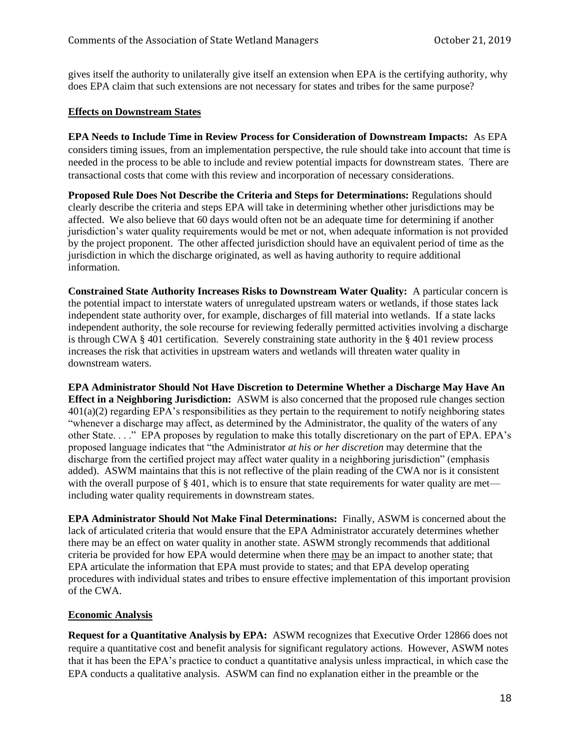gives itself the authority to unilaterally give itself an extension when EPA is the certifying authority, why does EPA claim that such extensions are not necessary for states and tribes for the same purpose?

## **Effects on Downstream States**

**EPA Needs to Include Time in Review Process for Consideration of Downstream Impacts:** As EPA considers timing issues, from an implementation perspective, the rule should take into account that time is needed in the process to be able to include and review potential impacts for downstream states. There are transactional costs that come with this review and incorporation of necessary considerations.

**Proposed Rule Does Not Describe the Criteria and Steps for Determinations:** Regulations should clearly describe the criteria and steps EPA will take in determining whether other jurisdictions may be affected. We also believe that 60 days would often not be an adequate time for determining if another jurisdiction's water quality requirements would be met or not, when adequate information is not provided by the project proponent. The other affected jurisdiction should have an equivalent period of time as the jurisdiction in which the discharge originated, as well as having authority to require additional information.

**Constrained State Authority Increases Risks to Downstream Water Quality:** A particular concern is the potential impact to interstate waters of unregulated upstream waters or wetlands, if those states lack independent state authority over, for example, discharges of fill material into wetlands. If a state lacks independent authority, the sole recourse for reviewing federally permitted activities involving a discharge is through CWA § 401 certification. Severely constraining state authority in the § 401 review process increases the risk that activities in upstream waters and wetlands will threaten water quality in downstream waters.

**EPA Administrator Should Not Have Discretion to Determine Whether a Discharge May Have An Effect in a Neighboring Jurisdiction:** ASWM is also concerned that the proposed rule changes section 401(a)(2) regarding EPA's responsibilities as they pertain to the requirement to notify neighboring states "whenever a discharge may affect, as determined by the Administrator, the quality of the waters of any other State. . . ." EPA proposes by regulation to make this totally discretionary on the part of EPA. EPA's proposed language indicates that "the Administrator *at his or her discretion* may determine that the discharge from the certified project may affect water quality in a neighboring jurisdiction" (emphasis added). ASWM maintains that this is not reflective of the plain reading of the CWA nor is it consistent with the overall purpose of  $\S 401$ , which is to ensure that state requirements for water quality are met including water quality requirements in downstream states.

**EPA Administrator Should Not Make Final Determinations:** Finally, ASWM is concerned about the lack of articulated criteria that would ensure that the EPA Administrator accurately determines whether there may be an effect on water quality in another state. ASWM strongly recommends that additional criteria be provided for how EPA would determine when there may be an impact to another state; that EPA articulate the information that EPA must provide to states; and that EPA develop operating procedures with individual states and tribes to ensure effective implementation of this important provision of the CWA.

# **Economic Analysis**

**Request for a Quantitative Analysis by EPA:** ASWM recognizes that Executive Order 12866 does not require a quantitative cost and benefit analysis for significant regulatory actions. However, ASWM notes that it has been the EPA's practice to conduct a quantitative analysis unless impractical, in which case the EPA conducts a qualitative analysis. ASWM can find no explanation either in the preamble or the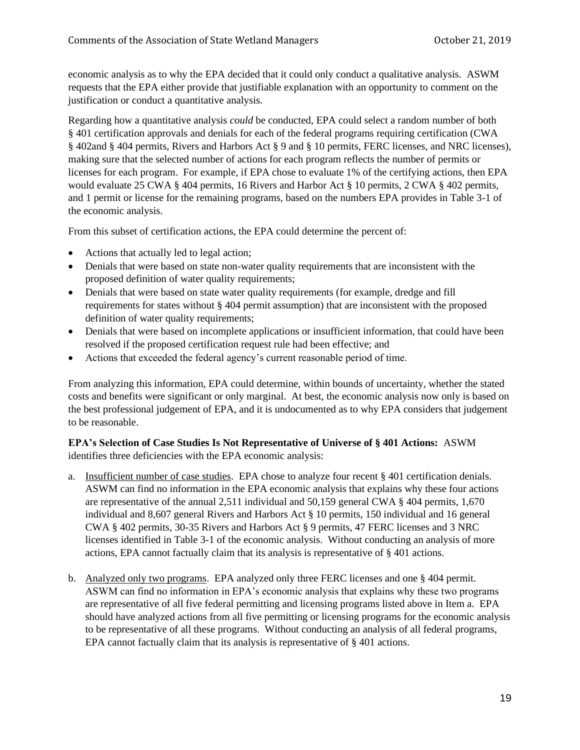economic analysis as to why the EPA decided that it could only conduct a qualitative analysis. ASWM requests that the EPA either provide that justifiable explanation with an opportunity to comment on the justification or conduct a quantitative analysis.

Regarding how a quantitative analysis *could* be conducted, EPA could select a random number of both § 401 certification approvals and denials for each of the federal programs requiring certification (CWA § 402and § 404 permits, Rivers and Harbors Act § 9 and § 10 permits, FERC licenses, and NRC licenses), making sure that the selected number of actions for each program reflects the number of permits or licenses for each program. For example, if EPA chose to evaluate 1% of the certifying actions, then EPA would evaluate 25 CWA § 404 permits, 16 Rivers and Harbor Act § 10 permits, 2 CWA § 402 permits, and 1 permit or license for the remaining programs, based on the numbers EPA provides in Table 3-1 of the economic analysis.

From this subset of certification actions, the EPA could determine the percent of:

- Actions that actually led to legal action;
- Denials that were based on state non-water quality requirements that are inconsistent with the proposed definition of water quality requirements;
- Denials that were based on state water quality requirements (for example, dredge and fill requirements for states without § 404 permit assumption) that are inconsistent with the proposed definition of water quality requirements;
- Denials that were based on incomplete applications or insufficient information, that could have been resolved if the proposed certification request rule had been effective; and
- Actions that exceeded the federal agency's current reasonable period of time.

From analyzing this information, EPA could determine, within bounds of uncertainty, whether the stated costs and benefits were significant or only marginal. At best, the economic analysis now only is based on the best professional judgement of EPA, and it is undocumented as to why EPA considers that judgement to be reasonable.

**EPA's Selection of Case Studies Is Not Representative of Universe of § 401 Actions:** ASWM identifies three deficiencies with the EPA economic analysis:

- a. Insufficient number of case studies. EPA chose to analyze four recent § 401 certification denials. ASWM can find no information in the EPA economic analysis that explains why these four actions are representative of the annual 2,511 individual and 50,159 general CWA § 404 permits, 1,670 individual and 8,607 general Rivers and Harbors Act § 10 permits, 150 individual and 16 general CWA § 402 permits, 30-35 Rivers and Harbors Act § 9 permits, 47 FERC licenses and 3 NRC licenses identified in Table 3-1 of the economic analysis. Without conducting an analysis of more actions, EPA cannot factually claim that its analysis is representative of § 401 actions.
- b. Analyzed only two programs. EPA analyzed only three FERC licenses and one § 404 permit. ASWM can find no information in EPA's economic analysis that explains why these two programs are representative of all five federal permitting and licensing programs listed above in Item a. EPA should have analyzed actions from all five permitting or licensing programs for the economic analysis to be representative of all these programs. Without conducting an analysis of all federal programs, EPA cannot factually claim that its analysis is representative of § 401 actions.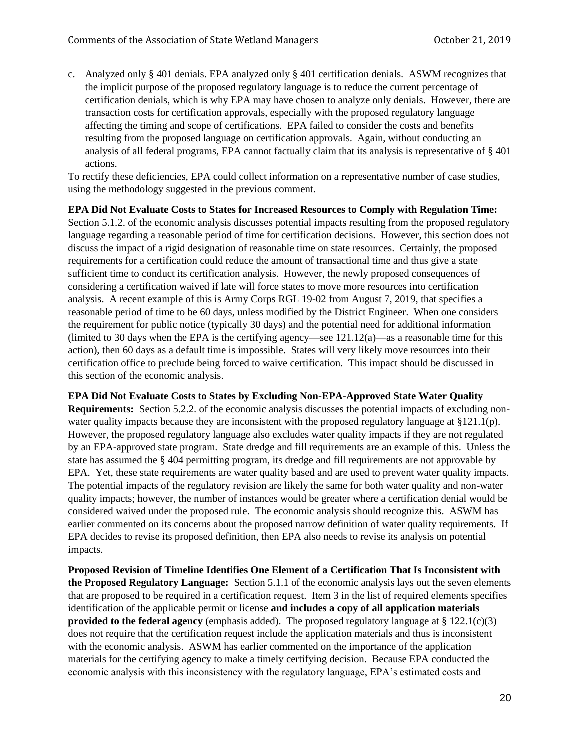c. Analyzed only § 401 denials. EPA analyzed only § 401 certification denials. ASWM recognizes that the implicit purpose of the proposed regulatory language is to reduce the current percentage of certification denials, which is why EPA may have chosen to analyze only denials. However, there are transaction costs for certification approvals, especially with the proposed regulatory language affecting the timing and scope of certifications. EPA failed to consider the costs and benefits resulting from the proposed language on certification approvals. Again, without conducting an analysis of all federal programs, EPA cannot factually claim that its analysis is representative of § 401 actions.

To rectify these deficiencies, EPA could collect information on a representative number of case studies, using the methodology suggested in the previous comment.

**EPA Did Not Evaluate Costs to States for Increased Resources to Comply with Regulation Time:**  Section 5.1.2. of the economic analysis discusses potential impacts resulting from the proposed regulatory language regarding a reasonable period of time for certification decisions. However, this section does not discuss the impact of a rigid designation of reasonable time on state resources. Certainly, the proposed requirements for a certification could reduce the amount of transactional time and thus give a state sufficient time to conduct its certification analysis. However, the newly proposed consequences of considering a certification waived if late will force states to move more resources into certification analysis. A recent example of this is Army Corps RGL 19-02 from August 7, 2019, that specifies a reasonable period of time to be 60 days, unless modified by the District Engineer. When one considers the requirement for public notice (typically 30 days) and the potential need for additional information (limited to 30 days when the EPA is the certifying agency—see  $121.12(a)$ —as a reasonable time for this action), then 60 days as a default time is impossible. States will very likely move resources into their certification office to preclude being forced to waive certification. This impact should be discussed in this section of the economic analysis.

**EPA Did Not Evaluate Costs to States by Excluding Non-EPA-Approved State Water Quality** 

**Requirements:** Section 5.2.2. of the economic analysis discusses the potential impacts of excluding nonwater quality impacts because they are inconsistent with the proposed regulatory language at §121.1(p). However, the proposed regulatory language also excludes water quality impacts if they are not regulated by an EPA-approved state program. State dredge and fill requirements are an example of this. Unless the state has assumed the § 404 permitting program, its dredge and fill requirements are not approvable by EPA. Yet, these state requirements are water quality based and are used to prevent water quality impacts. The potential impacts of the regulatory revision are likely the same for both water quality and non-water quality impacts; however, the number of instances would be greater where a certification denial would be considered waived under the proposed rule. The economic analysis should recognize this. ASWM has earlier commented on its concerns about the proposed narrow definition of water quality requirements. If EPA decides to revise its proposed definition, then EPA also needs to revise its analysis on potential impacts.

**Proposed Revision of Timeline Identifies One Element of a Certification That Is Inconsistent with the Proposed Regulatory Language:** Section 5.1.1 of the economic analysis lays out the seven elements that are proposed to be required in a certification request. Item 3 in the list of required elements specifies identification of the applicable permit or license **and includes a copy of all application materials provided to the federal agency** (emphasis added). The proposed regulatory language at § 122.1(c)(3) does not require that the certification request include the application materials and thus is inconsistent with the economic analysis. ASWM has earlier commented on the importance of the application materials for the certifying agency to make a timely certifying decision. Because EPA conducted the economic analysis with this inconsistency with the regulatory language, EPA's estimated costs and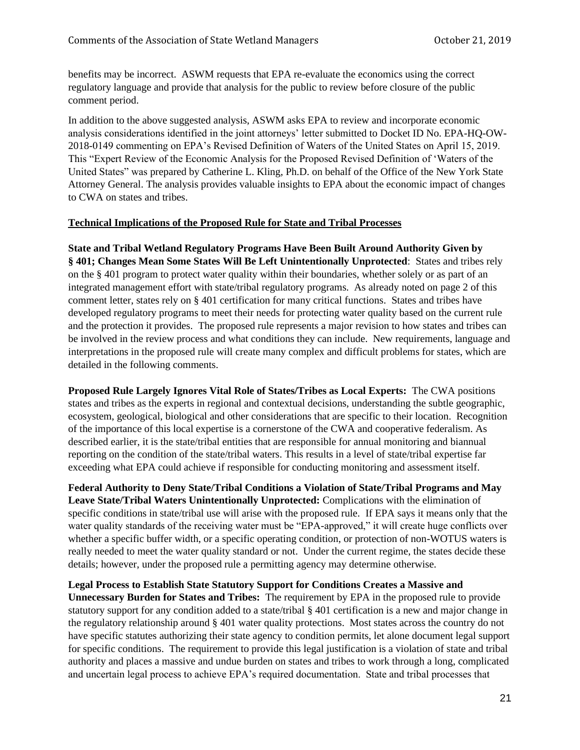benefits may be incorrect. ASWM requests that EPA re-evaluate the economics using the correct regulatory language and provide that analysis for the public to review before closure of the public comment period.

In addition to the above suggested analysis, ASWM asks EPA to review and incorporate economic analysis considerations identified in the joint attorneys' letter submitted to Docket ID No. EPA-HQ-OW-2018-0149 commenting on EPA's Revised Definition of Waters of the United States on April 15, 2019. This "Expert Review of the Economic Analysis for the Proposed Revised Definition of 'Waters of the United States" was prepared by Catherine L. Kling, Ph.D. on behalf of the Office of the New York State Attorney General. The analysis provides valuable insights to EPA about the economic impact of changes to CWA on states and tribes.

## **Technical Implications of the Proposed Rule for State and Tribal Processes**

**State and Tribal Wetland Regulatory Programs Have Been Built Around Authority Given by § 401; Changes Mean Some States Will Be Left Unintentionally Unprotected**: States and tribes rely on the § 401 program to protect water quality within their boundaries, whether solely or as part of an integrated management effort with state/tribal regulatory programs. As already noted on page 2 of this comment letter, states rely on § 401 certification for many critical functions. States and tribes have developed regulatory programs to meet their needs for protecting water quality based on the current rule and the protection it provides. The proposed rule represents a major revision to how states and tribes can be involved in the review process and what conditions they can include. New requirements, language and interpretations in the proposed rule will create many complex and difficult problems for states, which are detailed in the following comments.

**Proposed Rule Largely Ignores Vital Role of States/Tribes as Local Experts:** The CWA positions states and tribes as the experts in regional and contextual decisions, understanding the subtle geographic, ecosystem, geological, biological and other considerations that are specific to their location. Recognition of the importance of this local expertise is a cornerstone of the CWA and cooperative federalism. As described earlier, it is the state/tribal entities that are responsible for annual monitoring and biannual reporting on the condition of the state/tribal waters. This results in a level of state/tribal expertise far exceeding what EPA could achieve if responsible for conducting monitoring and assessment itself.

**Federal Authority to Deny State/Tribal Conditions a Violation of State/Tribal Programs and May Leave State/Tribal Waters Unintentionally Unprotected:** Complications with the elimination of specific conditions in state/tribal use will arise with the proposed rule. If EPA says it means only that the water quality standards of the receiving water must be "EPA-approved," it will create huge conflicts over whether a specific buffer width, or a specific operating condition, or protection of non-WOTUS waters is really needed to meet the water quality standard or not. Under the current regime, the states decide these details; however, under the proposed rule a permitting agency may determine otherwise.

**Legal Process to Establish State Statutory Support for Conditions Creates a Massive and Unnecessary Burden for States and Tribes:** The requirement by EPA in the proposed rule to provide statutory support for any condition added to a state/tribal § 401 certification is a new and major change in the regulatory relationship around § 401 water quality protections. Most states across the country do not have specific statutes authorizing their state agency to condition permits, let alone document legal support for specific conditions. The requirement to provide this legal justification is a violation of state and tribal authority and places a massive and undue burden on states and tribes to work through a long, complicated and uncertain legal process to achieve EPA's required documentation. State and tribal processes that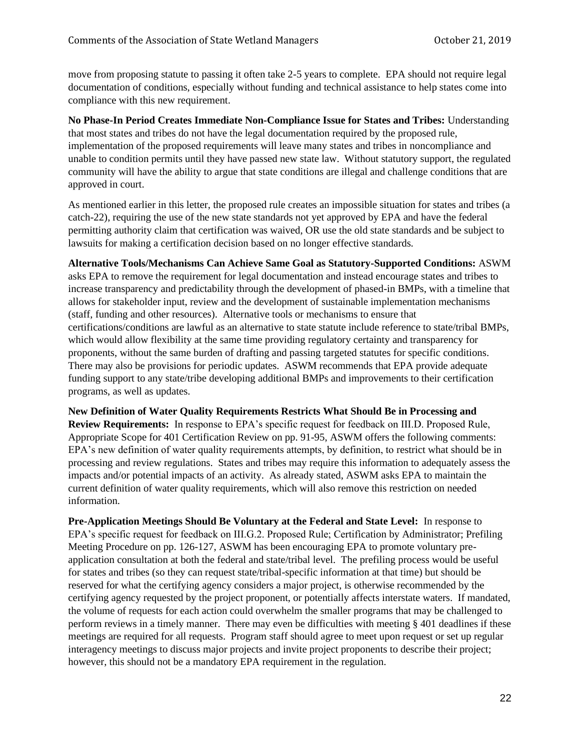move from proposing statute to passing it often take 2-5 years to complete. EPA should not require legal documentation of conditions, especially without funding and technical assistance to help states come into compliance with this new requirement.

**No Phase-In Period Creates Immediate Non-Compliance Issue for States and Tribes:** Understanding that most states and tribes do not have the legal documentation required by the proposed rule, implementation of the proposed requirements will leave many states and tribes in noncompliance and unable to condition permits until they have passed new state law. Without statutory support, the regulated community will have the ability to argue that state conditions are illegal and challenge conditions that are approved in court.

As mentioned earlier in this letter, the proposed rule creates an impossible situation for states and tribes (a catch-22), requiring the use of the new state standards not yet approved by EPA and have the federal permitting authority claim that certification was waived, OR use the old state standards and be subject to lawsuits for making a certification decision based on no longer effective standards.

**Alternative Tools/Mechanisms Can Achieve Same Goal as Statutory-Supported Conditions:** ASWM asks EPA to remove the requirement for legal documentation and instead encourage states and tribes to increase transparency and predictability through the development of phased-in BMPs, with a timeline that allows for stakeholder input, review and the development of sustainable implementation mechanisms (staff, funding and other resources). Alternative tools or mechanisms to ensure that certifications/conditions are lawful as an alternative to state statute include reference to state/tribal BMPs, which would allow flexibility at the same time providing regulatory certainty and transparency for proponents, without the same burden of drafting and passing targeted statutes for specific conditions. There may also be provisions for periodic updates. ASWM recommends that EPA provide adequate funding support to any state/tribe developing additional BMPs and improvements to their certification programs, as well as updates.

**New Definition of Water Quality Requirements Restricts What Should Be in Processing and Review Requirements:** In response to EPA's specific request for feedback on III.D. Proposed Rule, Appropriate Scope for 401 Certification Review on pp. 91-95, ASWM offers the following comments: EPA's new definition of water quality requirements attempts, by definition, to restrict what should be in processing and review regulations. States and tribes may require this information to adequately assess the impacts and/or potential impacts of an activity. As already stated, ASWM asks EPA to maintain the current definition of water quality requirements, which will also remove this restriction on needed information.

**Pre-Application Meetings Should Be Voluntary at the Federal and State Level:** In response to EPA's specific request for feedback on III.G.2. Proposed Rule; Certification by Administrator; Prefiling Meeting Procedure on pp. 126-127, ASWM has been encouraging EPA to promote voluntary preapplication consultation at both the federal and state/tribal level. The prefiling process would be useful for states and tribes (so they can request state/tribal-specific information at that time) but should be reserved for what the certifying agency considers a major project, is otherwise recommended by the certifying agency requested by the project proponent, or potentially affects interstate waters. If mandated, the volume of requests for each action could overwhelm the smaller programs that may be challenged to perform reviews in a timely manner. There may even be difficulties with meeting § 401 deadlines if these meetings are required for all requests. Program staff should agree to meet upon request or set up regular interagency meetings to discuss major projects and invite project proponents to describe their project; however, this should not be a mandatory EPA requirement in the regulation.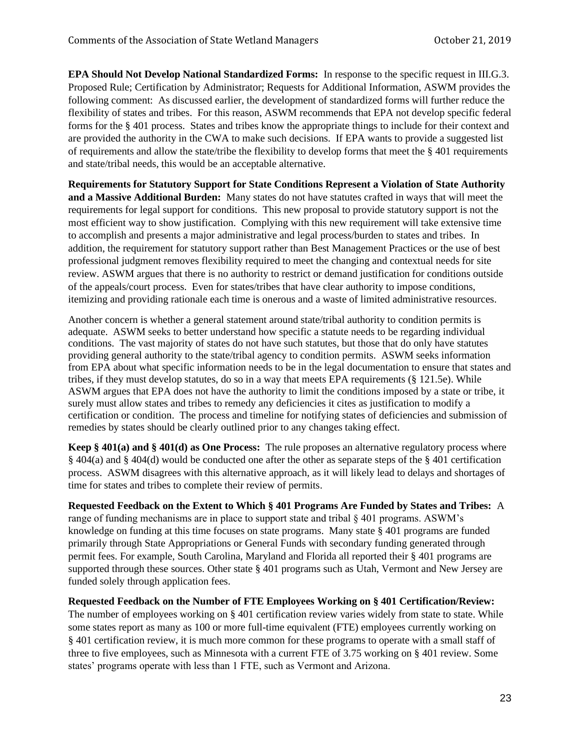**EPA Should Not Develop National Standardized Forms:** In response to the specific request in III.G.3. Proposed Rule; Certification by Administrator; Requests for Additional Information, ASWM provides the following comment: As discussed earlier, the development of standardized forms will further reduce the flexibility of states and tribes. For this reason, ASWM recommends that EPA not develop specific federal forms for the § 401 process. States and tribes know the appropriate things to include for their context and are provided the authority in the CWA to make such decisions. If EPA wants to provide a suggested list of requirements and allow the state/tribe the flexibility to develop forms that meet the § 401 requirements and state/tribal needs, this would be an acceptable alternative.

**Requirements for Statutory Support for State Conditions Represent a Violation of State Authority and a Massive Additional Burden:** Many states do not have statutes crafted in ways that will meet the requirements for legal support for conditions. This new proposal to provide statutory support is not the most efficient way to show justification. Complying with this new requirement will take extensive time to accomplish and presents a major administrative and legal process/burden to states and tribes. In addition, the requirement for statutory support rather than Best Management Practices or the use of best professional judgment removes flexibility required to meet the changing and contextual needs for site review. ASWM argues that there is no authority to restrict or demand justification for conditions outside of the appeals/court process. Even for states/tribes that have clear authority to impose conditions, itemizing and providing rationale each time is onerous and a waste of limited administrative resources.

Another concern is whether a general statement around state/tribal authority to condition permits is adequate. ASWM seeks to better understand how specific a statute needs to be regarding individual conditions. The vast majority of states do not have such statutes, but those that do only have statutes providing general authority to the state/tribal agency to condition permits. ASWM seeks information from EPA about what specific information needs to be in the legal documentation to ensure that states and tribes, if they must develop statutes, do so in a way that meets EPA requirements (§ 121.5e). While ASWM argues that EPA does not have the authority to limit the conditions imposed by a state or tribe, it surely must allow states and tribes to remedy any deficiencies it cites as justification to modify a certification or condition. The process and timeline for notifying states of deficiencies and submission of remedies by states should be clearly outlined prior to any changes taking effect.

**Keep § 401(a) and § 401(d) as One Process:** The rule proposes an alternative regulatory process where § 404(a) and § 404(d) would be conducted one after the other as separate steps of the § 401 certification process. ASWM disagrees with this alternative approach, as it will likely lead to delays and shortages of time for states and tribes to complete their review of permits.

**Requested Feedback on the Extent to Which § 401 Programs Are Funded by States and Tribes:** A range of funding mechanisms are in place to support state and tribal § 401 programs. ASWM's knowledge on funding at this time focuses on state programs. Many state § 401 programs are funded primarily through State Appropriations or General Funds with secondary funding generated through permit fees. For example, South Carolina, Maryland and Florida all reported their § 401 programs are supported through these sources. Other state § 401 programs such as Utah, Vermont and New Jersey are funded solely through application fees.

**Requested Feedback on the Number of FTE Employees Working on § 401 Certification/Review:**

The number of employees working on § 401 certification review varies widely from state to state. While some states report as many as 100 or more full-time equivalent (FTE) employees currently working on § 401 certification review, it is much more common for these programs to operate with a small staff of three to five employees, such as Minnesota with a current FTE of 3.75 working on § 401 review. Some states' programs operate with less than 1 FTE, such as Vermont and Arizona.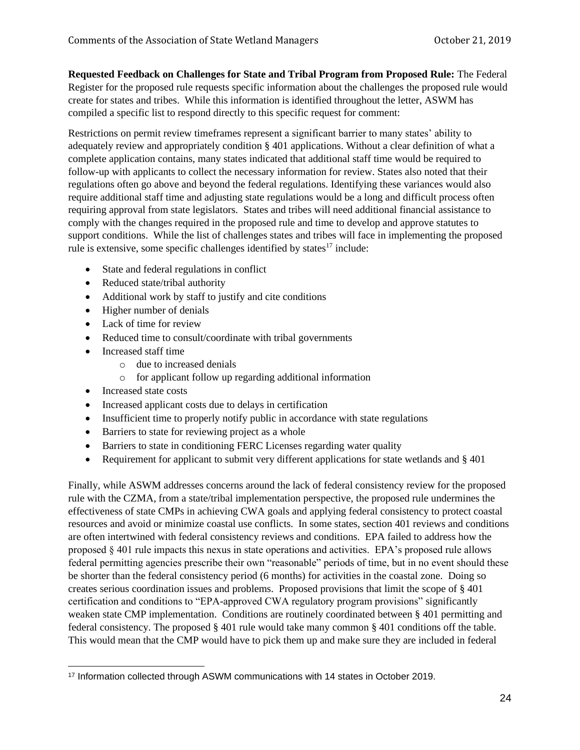**Requested Feedback on Challenges for State and Tribal Program from Proposed Rule:** The Federal Register for the proposed rule requests specific information about the challenges the proposed rule would create for states and tribes. While this information is identified throughout the letter, ASWM has compiled a specific list to respond directly to this specific request for comment:

Restrictions on permit review timeframes represent a significant barrier to many states' ability to adequately review and appropriately condition § 401 applications. Without a clear definition of what a complete application contains, many states indicated that additional staff time would be required to follow-up with applicants to collect the necessary information for review. States also noted that their regulations often go above and beyond the federal regulations. Identifying these variances would also require additional staff time and adjusting state regulations would be a long and difficult process often requiring approval from state legislators. States and tribes will need additional financial assistance to comply with the changes required in the proposed rule and time to develop and approve statutes to support conditions. While the list of challenges states and tribes will face in implementing the proposed rule is extensive, some specific challenges identified by states $17$  include:

- State and federal regulations in conflict
- Reduced state/tribal authority
- Additional work by staff to justify and cite conditions
- Higher number of denials
- Lack of time for review
- Reduced time to consult/coordinate with tribal governments
- Increased staff time
	- o due to increased denials
	- o for applicant follow up regarding additional information
- Increased state costs
- Increased applicant costs due to delays in certification
- Insufficient time to properly notify public in accordance with state regulations
- Barriers to state for reviewing project as a whole
- Barriers to state in conditioning FERC Licenses regarding water quality
- Requirement for applicant to submit very different applications for state wetlands and § 401

Finally, while ASWM addresses concerns around the lack of federal consistency review for the proposed rule with the CZMA, from a state/tribal implementation perspective, the proposed rule undermines the effectiveness of state CMPs in achieving CWA goals and applying federal consistency to protect coastal resources and avoid or minimize coastal use conflicts. In some states, section 401 reviews and conditions are often intertwined with federal consistency reviews and conditions. EPA failed to address how the proposed § 401 rule impacts this nexus in state operations and activities. EPA's proposed rule allows federal permitting agencies prescribe their own "reasonable" periods of time, but in no event should these be shorter than the federal consistency period (6 months) for activities in the coastal zone. Doing so creates serious coordination issues and problems. Proposed provisions that limit the scope of § 401 certification and conditions to "EPA-approved CWA regulatory program provisions" significantly weaken state CMP implementation. Conditions are routinely coordinated between § 401 permitting and federal consistency. The proposed § 401 rule would take many common § 401 conditions off the table. This would mean that the CMP would have to pick them up and make sure they are included in federal

<sup>17</sup> Information collected through ASWM communications with 14 states in October 2019.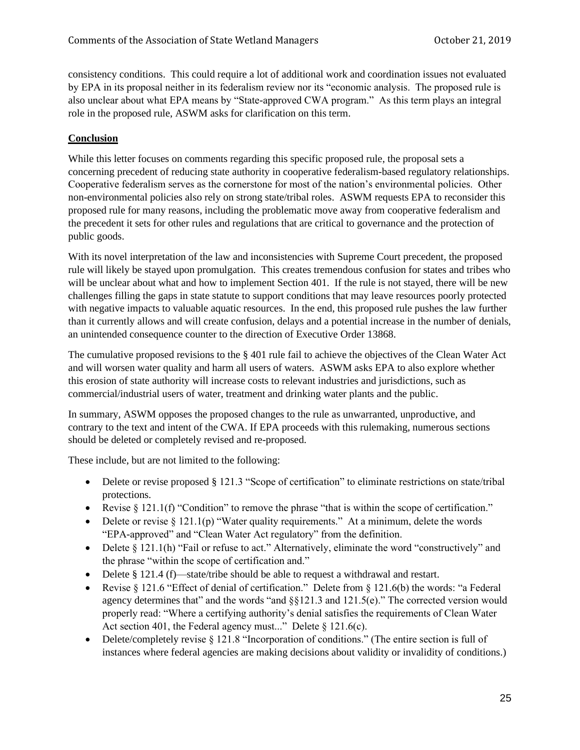consistency conditions. This could require a lot of additional work and coordination issues not evaluated by EPA in its proposal neither in its federalism review nor its "economic analysis. The proposed rule is also unclear about what EPA means by "State-approved CWA program." As this term plays an integral role in the proposed rule, ASWM asks for clarification on this term.

# **Conclusion**

While this letter focuses on comments regarding this specific proposed rule, the proposal sets a concerning precedent of reducing state authority in cooperative federalism-based regulatory relationships. Cooperative federalism serves as the cornerstone for most of the nation's environmental policies. Other non-environmental policies also rely on strong state/tribal roles. ASWM requests EPA to reconsider this proposed rule for many reasons, including the problematic move away from cooperative federalism and the precedent it sets for other rules and regulations that are critical to governance and the protection of public goods.

With its novel interpretation of the law and inconsistencies with Supreme Court precedent, the proposed rule will likely be stayed upon promulgation. This creates tremendous confusion for states and tribes who will be unclear about what and how to implement Section 401. If the rule is not stayed, there will be new challenges filling the gaps in state statute to support conditions that may leave resources poorly protected with negative impacts to valuable aquatic resources. In the end, this proposed rule pushes the law further than it currently allows and will create confusion, delays and a potential increase in the number of denials, an unintended consequence counter to the direction of Executive Order 13868.

The cumulative proposed revisions to the § 401 rule fail to achieve the objectives of the Clean Water Act and will worsen water quality and harm all users of waters. ASWM asks EPA to also explore whether this erosion of state authority will increase costs to relevant industries and jurisdictions, such as commercial/industrial users of water, treatment and drinking water plants and the public.

In summary, ASWM opposes the proposed changes to the rule as unwarranted, unproductive, and contrary to the text and intent of the CWA. If EPA proceeds with this rulemaking, numerous sections should be deleted or completely revised and re-proposed.

These include, but are not limited to the following:

- Delete or revise proposed § 121.3 "Scope of certification" to eliminate restrictions on state/tribal protections.
- Revise § 121.1(f) "Condition" to remove the phrase "that is within the scope of certification."
- Delete or revise  $\S 121.1(p)$  "Water quality requirements." At a minimum, delete the words "EPA-approved" and "Clean Water Act regulatory" from the definition.
- Delete  $\S 121.1(h)$  "Fail or refuse to act." Alternatively, eliminate the word "constructively" and the phrase "within the scope of certification and."
- Delete § 121.4 (f)—state/tribe should be able to request a withdrawal and restart.
- Revise § 121.6 "Effect of denial of certification." Delete from § 121.6(b) the words: "a Federal agency determines that" and the words "and  $\S8121.3$  and  $121.5(e)$ ." The corrected version would properly read: "Where a certifying authority's denial satisfies the requirements of Clean Water Act section 401, the Federal agency must..." Delete  $\S$  121.6(c).
- Delete/completely revise  $\S 121.8$  "Incorporation of conditions." (The entire section is full of instances where federal agencies are making decisions about validity or invalidity of conditions.)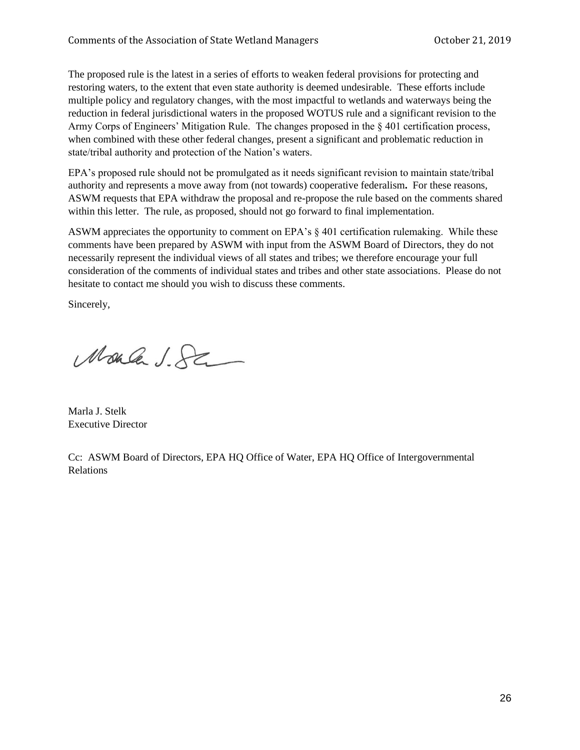The proposed rule is the latest in a series of efforts to weaken federal provisions for protecting and restoring waters, to the extent that even state authority is deemed undesirable. These efforts include multiple policy and regulatory changes, with the most impactful to wetlands and waterways being the reduction in federal jurisdictional waters in the proposed WOTUS rule and a significant revision to the Army Corps of Engineers' Mitigation Rule. The changes proposed in the § 401 certification process, when combined with these other federal changes, present a significant and problematic reduction in state/tribal authority and protection of the Nation's waters.

EPA's proposed rule should not be promulgated as it needs significant revision to maintain state/tribal authority and represents a move away from (not towards) cooperative federalism**.** For these reasons, ASWM requests that EPA withdraw the proposal and re-propose the rule based on the comments shared within this letter. The rule, as proposed, should not go forward to final implementation.

ASWM appreciates the opportunity to comment on EPA's  $\S 401$  certification rulemaking. While these comments have been prepared by ASWM with input from the ASWM Board of Directors, they do not necessarily represent the individual views of all states and tribes; we therefore encourage your full consideration of the comments of individual states and tribes and other state associations. Please do not hesitate to contact me should you wish to discuss these comments.

Sincerely,

Moule J. Sa

Marla J. Stelk Executive Director

Cc: ASWM Board of Directors, EPA HQ Office of Water, EPA HQ Office of Intergovernmental Relations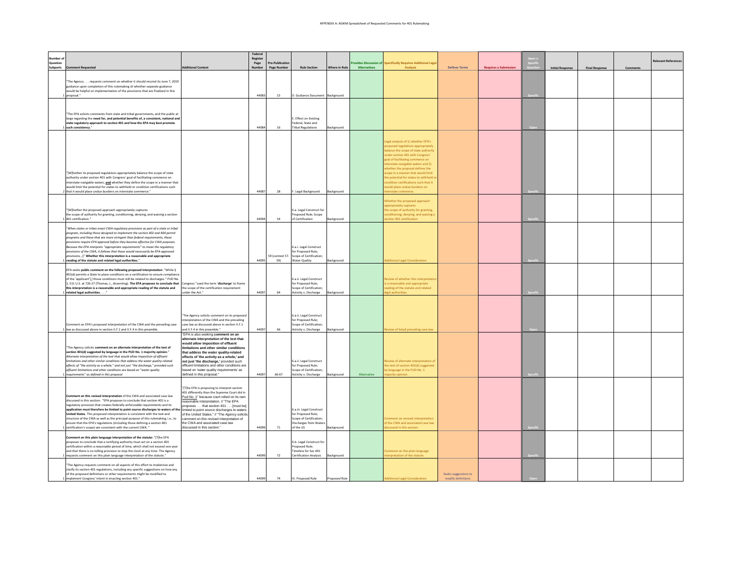| Number o<br>Question<br><b>Subparts</b> | <b>Iment Requested</b>                                                                                                                                                                                                                                                                                                                                                                                                                                                                                                                                                                                                                                                                       | <b>Additional Context</b>                                                                                                                                                                                                                                                                                                                                                                                                     | Federal<br><b>Registe</b><br>Page<br>Numbe | Pre-Publication<br>Page Number | <b>Rule Section</b>                                                                                              | <b>Where in Rule</b> | rovides Discussion of<br><b>Alternatives</b> | <b>Specifically Requires Additional Lega</b><br><b>Analysi</b>                                                                                                                                                                                                                                                                                                                                                            | <b>Defines Terms</b>                       | <b>Requires a Subr</b> | <b>Initial Response</b> | <b>Final Response</b> | Comments | Relevant References |
|-----------------------------------------|----------------------------------------------------------------------------------------------------------------------------------------------------------------------------------------------------------------------------------------------------------------------------------------------------------------------------------------------------------------------------------------------------------------------------------------------------------------------------------------------------------------------------------------------------------------------------------------------------------------------------------------------------------------------------------------------|-------------------------------------------------------------------------------------------------------------------------------------------------------------------------------------------------------------------------------------------------------------------------------------------------------------------------------------------------------------------------------------------------------------------------------|--------------------------------------------|--------------------------------|------------------------------------------------------------------------------------------------------------------|----------------------|----------------------------------------------|---------------------------------------------------------------------------------------------------------------------------------------------------------------------------------------------------------------------------------------------------------------------------------------------------------------------------------------------------------------------------------------------------------------------------|--------------------------------------------|------------------------|-------------------------|-----------------------|----------|---------------------|
|                                         | "The Agency requests comment on whether it should rescind its June 7, 2019<br>guidance upon completion of this rulemaking or whether separate guidance<br>would be helpful on implementation of the provisions that are finalized in this<br>1 proposal."                                                                                                                                                                                                                                                                                                                                                                                                                                    |                                                                                                                                                                                                                                                                                                                                                                                                                               | 44083                                      | 15                             | D. Guidance Document Background                                                                                  |                      |                                              |                                                                                                                                                                                                                                                                                                                                                                                                                           |                                            |                        |                         |                       |          |                     |
|                                         | The EPA solicits comments from state and tribal governments, and the public at<br>large regarding the need for, and potential benefits of, a consistent, national and<br>state regulatory approach to section 401 and how the EPA may best promote<br>1 such consistency."                                                                                                                                                                                                                                                                                                                                                                                                                   |                                                                                                                                                                                                                                                                                                                                                                                                                               | 44084                                      | 16                             | . Effect on Existing<br>Federal, State and<br><b>Tribal Regulations</b>                                          | Background           |                                              |                                                                                                                                                                                                                                                                                                                                                                                                                           |                                            |                        |                         |                       |          |                     |
|                                         | "[W]hether its proposed regulations appropriately balance the scope of state<br>authority under section 401 with Congress' goal of facilitating commerce on<br>interstate navigable waters, and whether they define the scope in a manner that<br>would limit the potential for states to withhold or condition certifications such<br>2 that it would place undue burdens on interstate commerce."                                                                                                                                                                                                                                                                                          |                                                                                                                                                                                                                                                                                                                                                                                                                               | 44087                                      | 28                             | F. Legal Background                                                                                              | Background           |                                              | egal analysis of 1) whether EPA's<br>posed regulations appropriately<br>alance the scope of state authority<br>ider section 401 with Congress'<br>al of facilitating commerce on<br>erstate navigable waters and 2)<br>ether the proposal defines the<br>cope in a manner that would limit<br>he notential for states to withhold of<br>dition certifications such that it<br>uld place undue burdens on<br>state commero |                                            |                        |                         |                       |          |                     |
|                                         | "[W]hether the proposed approach appropriately captures<br>the scope of authority for granting, conditioning, denying, and waiving a section<br>1401 certification *                                                                                                                                                                                                                                                                                                                                                                                                                                                                                                                         |                                                                                                                                                                                                                                                                                                                                                                                                                               | 44094                                      | 54                             | 6.a. Legal Construct for<br>Proposed Rule: Scope<br>of Certification                                             | Background           |                                              | hether the proposed approach<br>priately captures<br>e scope of authority for granting,<br>litioning, denying, and waiving a<br>ion 401 certification                                                                                                                                                                                                                                                                     |                                            |                        |                         |                       |          |                     |
|                                         | "When states or tribes enact CWA regulatory provisions as part of a state or tribal<br>program, including those designed to implement the section 402 and 404 permit<br>programs and those that are more stringent than federal requirements, those<br>provisions require EPA approval before they become effective for CWA purposes.<br>Because the EPA interprets "appropriate requirements" to mean the regulatory<br>provisions of the CWA, it follows that those would necessarily be EPA-approved<br>provisions. // Whether this interpretation is a reasonable and appropriate<br>1 reading of the statute and related legal authorities."                                            |                                                                                                                                                                                                                                                                                                                                                                                                                               | 44095                                      | 59)                            | 6.a.i. Legal Construct<br>for Proposed Rule;<br>59 (context 57- Scope of Certification;<br>Water Quality         | Background           |                                              | tional Legal Consideration                                                                                                                                                                                                                                                                                                                                                                                                |                                            |                        |                         |                       |          |                     |
|                                         | EPA seeks public comment on the following proposed interpretation: "While §<br>401(d) permits a State to place conditions on a certification to ensure compliance<br>of the 'applicant'[,] those conditions must still be related to discharges." PUD No.<br>1, 511 U.S. at 726-27 (Thomas, J., dissenting). The EPA proposes to conclude that Congress "used the term 'discharge' to frame<br>this interpretation is a reasonable and appropriate reading of the statute and<br>1 related legal authorities"                                                                                                                                                                                | the scope of the certification requirement<br>inder the Act."                                                                                                                                                                                                                                                                                                                                                                 | 44097                                      | 64                             | 6.a.ii. Legal Construct<br>for Proposed Rule:<br>Scope of Certification<br>Activity v. Discharge                 | Background           |                                              | eview of whether this interpreta<br>s a reasonable and appropriate<br>ading of the statute and related<br>al authorities                                                                                                                                                                                                                                                                                                  |                                            |                        |                         |                       |          |                     |
|                                         | Comment on EPA's proposed interpretation of the CWA and the prevailing case<br>1 law as discussed above in section II.F.1 and II.F.4 in this preamble.                                                                                                                                                                                                                                                                                                                                                                                                                                                                                                                                       | "The Agency solicits comment on its proposed<br>terpretation of the CWA and the prevailing<br>case law as discussed above in section II.F.1<br>and II.F.4 in this preamble.                                                                                                                                                                                                                                                   | 44097                                      | 66                             | 6.a.ii. Legal Construct<br>for Proposed Rule;<br>Scope of Certification;<br>Activity v. Discharge                | Background           |                                              | lew of listed prevailing case law                                                                                                                                                                                                                                                                                                                                                                                         |                                            |                        |                         |                       |          |                     |
|                                         | "The Agency solicits comment on an alternate interpretation of the text of<br>section 401(d) suggested by language in the PUD No. 1 majority opinion."<br>Alternate interpretation of the text that would allow imposition of effluent<br>limitations and other similar conditions that address the water auglity-related<br>effects of "the activity as a whole," and not just "the discharge," provided such<br>effluent limitations and other conditions are based on "water quality<br>requirements" as defined in this proposal.                                                                                                                                                        | "EPA is also seeking comment on an<br>alternate interpretation of the text that<br>would allow imposition of effluent<br>limitations and other similar conditions<br>that addess the water quality-related<br>effects of 'the activity as a whole,' and<br>not just 'the discharge,' provided such<br>effluent limitations and other conditions are<br>based on 'water quality requirements' as<br>defined in this proposal." | 44097                                      | 66-67                          | 6.a.ii. Legal Construct<br>for Proposed Rule:<br>Scope of Certification;<br>Activity v. Discharge                | Background           | Alternative                                  | view of alternate interpretation o<br>e text of section 401(d) suggested<br>/ language in the PUD No. 1                                                                                                                                                                                                                                                                                                                   |                                            |                        |                         |                       |          |                     |
|                                         | nment on this revised interpretation of the CWA and associated case law<br>discussed in this section: "EPA proposes to conclude that section 401 is a<br>regulatory provision that creates federally enforceable requirements and its<br>application must therefore be limited to point source discharges to waters of the limited to point source discharges to waters<br>United States. This proposed interpretation is consistent with the text and<br>structure of the CWA as well as the principal purpose of this rulemaking, i.e., to<br>ensure that the EPA's regulations (including those defining a section 401<br>1 certification's scope) are consistent with the current CWA. " | "[T]he EPA is proposing to interpret section<br>401 differently than the Sunreme Court did in<br>Pud No. 1" because court relied on its own<br>reasonable interpretation. // "The EPA<br>proposes that section 401 [must be]<br>of the United States." // "The Agency solicits<br>comment on this revised interpretation of<br>the CWA and associated case law<br>discussed in this section."                                 | 44099                                      | 71                             | 6.a.iii. Legal Construct<br>for Proposed Rule:<br>Scope of Certification:<br>Discharges from Water:<br>of the US | Background           |                                              | nment on revised interpretation<br>of the CWA and associated case law<br>ussed in this section                                                                                                                                                                                                                                                                                                                            |                                            |                        |                         |                       |          |                     |
|                                         | nment on this plain language interpretation of the statute: "[T]he EPA<br>proposes to conclude that a certifying authority must act on a section 401<br>certification within a reasonable period of time, which shall not exceed one year<br>and that there is no tolling provision to stop the clock at any time. The Agency<br>1 requests comment on this plain language interpretation of the statute.                                                                                                                                                                                                                                                                                    |                                                                                                                                                                                                                                                                                                                                                                                                                               | 44099                                      | 72                             | 6.b. Legal Construct for<br>roposed Rule;<br>Timeline for Sec 401<br><b>Certification Analysis</b>               | Background           |                                              | ment on the plain language<br>erpretation of the statute                                                                                                                                                                                                                                                                                                                                                                  |                                            |                        |                         |                       |          |                     |
|                                         | The Agency requests comment on all aspects of this effort to modernize and<br>clarify its section 401 regulations, including any specific suggestions on how any<br>of the proposed definitions or other requirements might be modified to<br>1 implement Congress' intent in enacting section 401."                                                                                                                                                                                                                                                                                                                                                                                         |                                                                                                                                                                                                                                                                                                                                                                                                                               | 44099                                      | 74                             | III. Proposed Rule                                                                                               | Proposed Rule        |                                              | Additional Legal Consideration                                                                                                                                                                                                                                                                                                                                                                                            | Seeks suggestions to<br>modify definitions |                        |                         |                       |          |                     |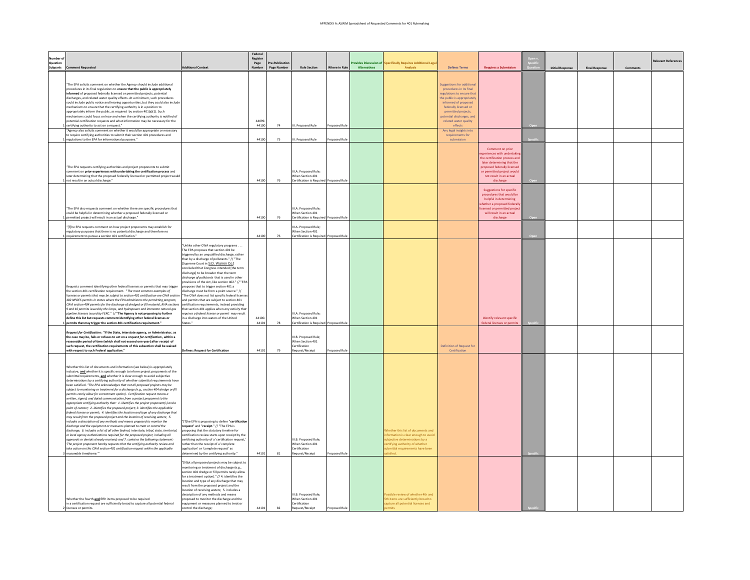| Question<br><b>Subparts</b> | nment Requester                                                                                                                                                                                                                                                                                                                                                                                                                                                                                                                                                                                                                                                                                                                                                                                                                                                                                                                                                                                                                                                                                                                                                                                                                                                                                                                                                                                                                                                                                                                                                                                                                                 | <b>Additional Context</b>                                                                                                                                                                                                                                                                                                                                                                                                                                                                                                                                                                                                                                                                                                                                                                                                | Registe<br>Page | re-Publicatio<br>Page Number | <b>Rule Section</b>                                                                | Where in Rule | Alternatives | ecifically Requires Additional Lega<br><b>Analysis</b>                                                                                                             | <b>Defines Terms</b>                                                                                                                                                                                                                                   | <b>Requires a Submission</b>                                                                                                                                                                                   | <b>Initial Response</b><br><b>Final Response</b> | Comments | Relevant References |
|-----------------------------|-------------------------------------------------------------------------------------------------------------------------------------------------------------------------------------------------------------------------------------------------------------------------------------------------------------------------------------------------------------------------------------------------------------------------------------------------------------------------------------------------------------------------------------------------------------------------------------------------------------------------------------------------------------------------------------------------------------------------------------------------------------------------------------------------------------------------------------------------------------------------------------------------------------------------------------------------------------------------------------------------------------------------------------------------------------------------------------------------------------------------------------------------------------------------------------------------------------------------------------------------------------------------------------------------------------------------------------------------------------------------------------------------------------------------------------------------------------------------------------------------------------------------------------------------------------------------------------------------------------------------------------------------|--------------------------------------------------------------------------------------------------------------------------------------------------------------------------------------------------------------------------------------------------------------------------------------------------------------------------------------------------------------------------------------------------------------------------------------------------------------------------------------------------------------------------------------------------------------------------------------------------------------------------------------------------------------------------------------------------------------------------------------------------------------------------------------------------------------------------|-----------------|------------------------------|------------------------------------------------------------------------------------|---------------|--------------|--------------------------------------------------------------------------------------------------------------------------------------------------------------------|--------------------------------------------------------------------------------------------------------------------------------------------------------------------------------------------------------------------------------------------------------|----------------------------------------------------------------------------------------------------------------------------------------------------------------------------------------------------------------|--------------------------------------------------|----------|---------------------|
|                             | "The EPA solicits comment on whether the Agency should include additional<br>procedures in its final regulations to ensure that the public is appropriately<br>informed of proposed federally licensed or permitted projects, potential<br>discharges, and related water quality effects. At a minimum, such procedures<br>could include public notice and hearing opportunities, but they could also include<br>mechanisms to ensure that the certifying authority is in a position to<br>appropriately inform the public, as required by section 401(a)(1). Such<br>mechanisms could focus on how and when the certifying authority is notified of<br>potential certification requests and what information may be necessary for the<br>certifying authority to act on a request."                                                                                                                                                                                                                                                                                                                                                                                                                                                                                                                                                                                                                                                                                                                                                                                                                                                            |                                                                                                                                                                                                                                                                                                                                                                                                                                                                                                                                                                                                                                                                                                                                                                                                                          | 44099<br>44100  | 74                           | Proposed Rule                                                                      | roposed Rule  |              |                                                                                                                                                                    | suggestions for addition<br>procedures in its final<br>egulations to ensure tha<br>he public is appropriately<br>informed of proposed<br>federally licensed or<br>permitted projects,<br>potential discharges, and<br>related water quality<br>effects |                                                                                                                                                                                                                |                                                  |          |                     |
|                             | "Agency also solicits comment on whether it would be appropriate or necessary<br>to require certifying authorities to submit their section 401 procedures and<br>regulations to the EPA for informational purposes."                                                                                                                                                                                                                                                                                                                                                                                                                                                                                                                                                                                                                                                                                                                                                                                                                                                                                                                                                                                                                                                                                                                                                                                                                                                                                                                                                                                                                            |                                                                                                                                                                                                                                                                                                                                                                                                                                                                                                                                                                                                                                                                                                                                                                                                                          | 44100           | 75                           | II. Proposed Rule                                                                  | roposed Rule  |              |                                                                                                                                                                    | Any legal insights into<br>requirements for<br>submission                                                                                                                                                                                              |                                                                                                                                                                                                                |                                                  |          |                     |
|                             | "The EPA requests certifying authorities and project proponents to submit<br>comment on prior experiences with undertaking the certification process and<br>later determining that the proposed federally licensed or permitted project would<br>not result in an actual discharge."                                                                                                                                                                                                                                                                                                                                                                                                                                                                                                                                                                                                                                                                                                                                                                                                                                                                                                                                                                                                                                                                                                                                                                                                                                                                                                                                                            |                                                                                                                                                                                                                                                                                                                                                                                                                                                                                                                                                                                                                                                                                                                                                                                                                          | 44100           | 76                           | II A Pronosed Rule:<br>When Section 401<br>ertification is Required                | roposed Rule  |              |                                                                                                                                                                    |                                                                                                                                                                                                                                                        | Comment on prior<br>eriences with undertaki<br>the certification process an<br>later determining that the<br>proposed federally licensed<br>or permitted project would<br>not result in an actual<br>discharge |                                                  |          |                     |
|                             | The EPA also requests comment on whether there are specific procedures that<br>could be helpful in determining whether a proposed federally licensed or<br>permitted project will result in an actual discharge."                                                                                                                                                                                                                                                                                                                                                                                                                                                                                                                                                                                                                                                                                                                                                                                                                                                                                                                                                                                                                                                                                                                                                                                                                                                                                                                                                                                                                               |                                                                                                                                                                                                                                                                                                                                                                                                                                                                                                                                                                                                                                                                                                                                                                                                                          | 44100           | 76                           | II.A. Proposed Rule:<br>When Section 401<br>ertification is Require                | oposed Rule   |              |                                                                                                                                                                    |                                                                                                                                                                                                                                                        | <b>Suggestions for specific</b><br>procedures that would be<br>helpful in determining<br>ether a proposed federal<br>censed or permitted projet<br>will result in an actual<br>discharge                       |                                                  |          |                     |
|                             | [T]he EPA requests comment on how project proponents may establish for<br>regulatory purposes that there is no potential discharge and therefore no<br>requirement to pursue a section 401 certification."                                                                                                                                                                                                                                                                                                                                                                                                                                                                                                                                                                                                                                                                                                                                                                                                                                                                                                                                                                                                                                                                                                                                                                                                                                                                                                                                                                                                                                      |                                                                                                                                                                                                                                                                                                                                                                                                                                                                                                                                                                                                                                                                                                                                                                                                                          | 44100           | 76                           | II A Pronosed Rule:<br>When Section 401<br>ertification is Required                | roposed Rule  |              |                                                                                                                                                                    |                                                                                                                                                                                                                                                        |                                                                                                                                                                                                                |                                                  |          |                     |
|                             | Requests comment identifying other federal licenses or permits that may trigger<br>the section 401 certification requirement. "The most common examples of<br>licenses or permits that may be subject to section 401 certification are CWA section<br>402 NPDES permits in states where the EPA administers the permitting program,<br>CWA section 404 permits for the discharge of dredged or fill material, RHA sections<br>9 and 10 permits issued by the Corps, and hydropower and interstate natural gas<br>sipeline licenses issued by FERC." // "The Agency is not proposing to further<br>efine this list but requests comment identifying other federal licenses or<br>permits that may trigger the section 401 certification requirement."                                                                                                                                                                                                                                                                                                                                                                                                                                                                                                                                                                                                                                                                                                                                                                                                                                                                                            | Unlike other CWA regulatory programs<br>The EPA proposes that section 401 be<br>triggered by an unqualified discharge, rather<br>than by a discharge of pollutants." // "The<br>[Supreme Court in S.D. Warren Co.]<br>concluded that Congress intended (the term<br>discharge] to be broader than the term<br>discharge of pollutants that is used in other<br>rovisions of the Act, like section 402." // "EPA<br>proposes that to trigger section 401 a<br>discharge must be from a point source." //<br>"The CWA does not list specific federal license<br>and permits that are subject to section 401<br>certification requirements, instead providing<br>that section 401 applies when any activity that<br>requires a federal license or permit may result<br>in a discharge into waters of the United<br>States." | 44100<br>44101  | 78                           | I.A. Proposed Rule;<br>When Section 401<br>Certification is Required Proposed Rule |               |              |                                                                                                                                                                    |                                                                                                                                                                                                                                                        | dentify relevant specific<br>federal licenses or permit                                                                                                                                                        |                                                  |          |                     |
|                             | lequest for Certification : "If the State, interstate agency, or Administrator, as<br>the case may be, fails or refuses to act on a request for certification, within a<br>easonable period of time (which shall not exceed one year) after receipt of<br>such request, the certification requirements of this subsection shall be waived<br>with respect to such Federal application."                                                                                                                                                                                                                                                                                                                                                                                                                                                                                                                                                                                                                                                                                                                                                                                                                                                                                                                                                                                                                                                                                                                                                                                                                                                         | <b>Defines: Request for Certification</b>                                                                                                                                                                                                                                                                                                                                                                                                                                                                                                                                                                                                                                                                                                                                                                                | 44101           | 79                           | I.B. Proposed Rule;<br>When Section 401<br><b>Certification</b><br>Request/Receipt | Proposed Rule |              |                                                                                                                                                                    | Definition of Request fo<br>Certification                                                                                                                                                                                                              |                                                                                                                                                                                                                |                                                  |          |                     |
|                             | Whether this list of documents and information (see below) is appropriately<br>inclusive, and whether it is specific enough to inform project proponents of the<br>submittal requirements, and whether it is clear enough to avoid subjective<br>determinations by a certifying authority of whether submittal requirements have<br>been satisfied. "The EPA acknowledges that not all proposed projects may be<br>subject to monitoring or treatment for a discharge (e.g., section 404 dredge or fill<br>permits rarely allow for a treatment option). Certification request means a<br>written, signed, and dated communication from a project proponent to the<br>appropriate certifying authority that: 1. identifies the project proponent(s) and a<br>point of contact; 2. identifies the proposed project; 3. identifies the applicable<br>ederal license or permit; 4. identifies the location and type of any discharge that<br>may result from the proposed project and the location of receiving waters; 5.<br>ncludes a description of any methods and means proposed to monitor the<br>discharge and the equipment or measures planned to treat or control the<br>lischarge; 6. includes a list of all other federal, interstate, tribal, state, territorial,<br>or local agency authorizations required for the proposed project, including all<br>pprovals or denials already received; and 7. contains the following statement:<br>The project proponent hereby requests that the certifying authority review and<br>take action on this CWA section 401 certification request within the applicable<br>reasonable timeframe." | "[T]he EPA is proposing to define "certification<br>equest" and "receipt." // "The EPA is<br>proposing that the statutory timeline for<br>certification review starts upon receipt by the<br>certifying authority of a 'certification request,'<br>rather than the receipt of a 'complete<br>application' or 'complete request' as<br>etermined by the certifying authority.                                                                                                                                                                                                                                                                                                                                                                                                                                             | 44101           | 81                           | II.B. Proposed Rule;<br>When Section 401<br>ertification<br>equest/Receip          | oposed Rule   |              | ether this list of documents and<br>mation is clear enough to avoid<br>ctive determinations by a<br>rtifying authority of whether<br>mittal requirements have been |                                                                                                                                                                                                                                                        |                                                                                                                                                                                                                |                                                  |          |                     |
|                             | Whether the fourth and fifth items proposed to be required<br>in a certification request are sufficiently broad to capture all potential federal<br>licenses or permits.                                                                                                                                                                                                                                                                                                                                                                                                                                                                                                                                                                                                                                                                                                                                                                                                                                                                                                                                                                                                                                                                                                                                                                                                                                                                                                                                                                                                                                                                        | "[N]ot all proposed projects may be subject to<br>onitoring or treatment of discharge (e.g.,<br>section 404 dredge or fill permits rarely allow<br>for a treatment option)." // 4. identifies the<br>location and type of any discharge that may<br>result from the proposed project and the<br>location of receiving waters; 5. includes a<br>description of any methods and means<br>proposed to monitor the discharge and the<br>equipment or measures planned to treat or<br>control the discharge:                                                                                                                                                                                                                                                                                                                  | 44101           | 82                           | <b>II R. Pronosed Rule</b><br>When Section 401<br>Certification<br>Request/Receipt | Proposed Rule |              | ssible review of whether 4th and<br>th items are sufficiently broad to<br>pture all potential licenses and                                                         |                                                                                                                                                                                                                                                        |                                                                                                                                                                                                                |                                                  |          |                     |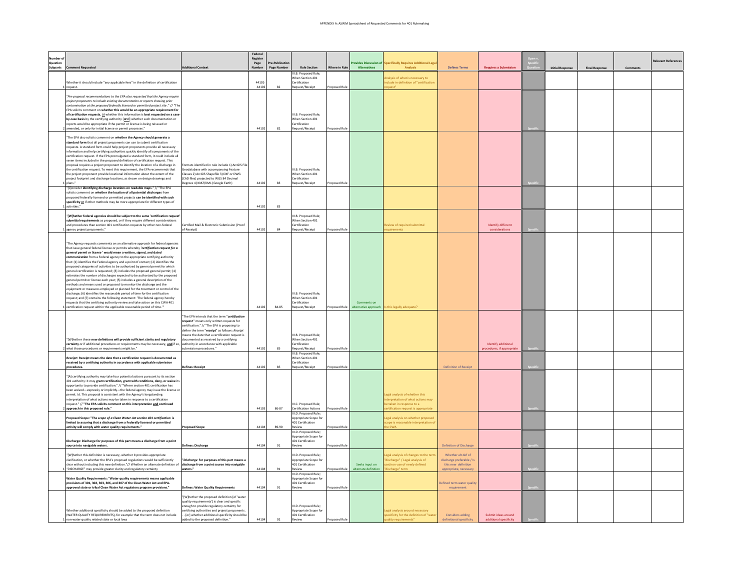| Number o<br>Question<br>Subparts | ment Requester                                                                                                                                                                                                                                                                                                                                                                                                                                                                                                                                                                                                                                                                                                                                                                                                                                                                                                                                                                                                                                                                                                                                                                                                                               | litional Context                                                                                                                                                                                                                                                                                                                                         | Federal<br>Register<br>Page | Pre-Publicatio<br>Page Number | <b>Rule Section</b>                                                           | Where in Rule | ovides Discussion of<br>Alternatives  | becifically Requires Additional Lega                                                                                  | <b>Defines Terms</b>                                                                            | ires a Sul                                        | <b>Initial Respons</b> | <b>Final Response</b> | Comments | evant Reference |
|----------------------------------|----------------------------------------------------------------------------------------------------------------------------------------------------------------------------------------------------------------------------------------------------------------------------------------------------------------------------------------------------------------------------------------------------------------------------------------------------------------------------------------------------------------------------------------------------------------------------------------------------------------------------------------------------------------------------------------------------------------------------------------------------------------------------------------------------------------------------------------------------------------------------------------------------------------------------------------------------------------------------------------------------------------------------------------------------------------------------------------------------------------------------------------------------------------------------------------------------------------------------------------------|----------------------------------------------------------------------------------------------------------------------------------------------------------------------------------------------------------------------------------------------------------------------------------------------------------------------------------------------------------|-----------------------------|-------------------------------|-------------------------------------------------------------------------------|---------------|---------------------------------------|-----------------------------------------------------------------------------------------------------------------------|-------------------------------------------------------------------------------------------------|---------------------------------------------------|------------------------|-----------------------|----------|-----------------|
|                                  | Whether it should include "any applicable fees" in the definition of certification<br>anuart                                                                                                                                                                                                                                                                                                                                                                                                                                                                                                                                                                                                                                                                                                                                                                                                                                                                                                                                                                                                                                                                                                                                                 |                                                                                                                                                                                                                                                                                                                                                          | 44101<br>4410               | 82                            | III.B. Proposed Rule<br>When Section 401<br>Certification<br>Request/Receipt  | nosed Rule    |                                       | alysis of what is necessary to<br>lude in definition of "certification                                                |                                                                                                 |                                                   |                        |                       |          |                 |
|                                  | Pre-proposal recommendations to the EPA also requested that the Agency require<br>project proponents to include existing documentation or reports showing prior<br>ontamination at the proposed federally licensed or permitted project site." // "Th<br>EPA solicits comment on whether this would be an appropriate requirement for<br>all certification requests, or whether this information is best requested on a case<br>by-case basis by the certifying authority [and] whether such documentation or<br>reports would be appropriate if the permit or license is being reissued or<br>amended, or only for initial license or permit processes."                                                                                                                                                                                                                                                                                                                                                                                                                                                                                                                                                                                    |                                                                                                                                                                                                                                                                                                                                                          | 4410                        | 82                            | II.B. Proposed Rule;<br>When Section 401<br>Certification<br>Request/Receipt  | Proposed Rule |                                       |                                                                                                                       |                                                                                                 |                                                   |                        |                       |          |                 |
|                                  | The EPA also solicits comment on whether the Agency should generate a<br>standard form that all project proponents can use to submit certification<br>requests. A standard form could help project proponents provide all necessary<br>nformation and help certifying authorities quickly identify all components of the<br>certification request. If the EPA promulgated a standard form, it could include all<br>seven items included in the proposed definition of certification request. This<br>proposal requires a project proponent to identify the location of a discharge in<br>the certification request. To meet this requirement, the EPA recommends that<br>the project proponent provide locational information about the extent of the<br>project footprint and discharge locations, as shown on design drawings and<br>Lolans."                                                                                                                                                                                                                                                                                                                                                                                              | ormats identified in rule include 1) ArcGIS File<br>eodatabase with accompanying Feature<br>lasses 2) ArcGIS Shapefile 3) DXF or DWG<br>(CAD files) projected to WGS 84 Decimal<br>Degrees 4) KMZ/KML (Google Earth)                                                                                                                                     | 44102                       | 83                            | II.B. Proposed Rule<br>When Section 401<br>Certification<br>Request/Receipt   | Proposed Rule |                                       |                                                                                                                       |                                                                                                 |                                                   |                        |                       |          |                 |
|                                  | "[C]onsider identifying discharge locations on readable maps." // "The EPA<br>solicits comment on whether the location of all potential discharges from<br>proposed federally licensed or permitted projects can be identified with such<br>specificity or if other methods may be more appropriate for different types of<br>activities."                                                                                                                                                                                                                                                                                                                                                                                                                                                                                                                                                                                                                                                                                                                                                                                                                                                                                                   |                                                                                                                                                                                                                                                                                                                                                          | 44102                       | 83                            |                                                                               |               |                                       |                                                                                                                       |                                                                                                 |                                                   |                        |                       |          |                 |
|                                  | "IWIhether federal agencies should be subject to the same 'certification reques<br>mittal requirements as proposed, or if they require different considerations<br>and procedures than section 401 certification requests by other non-federal<br>agency project proponents."                                                                                                                                                                                                                                                                                                                                                                                                                                                                                                                                                                                                                                                                                                                                                                                                                                                                                                                                                                | Certified Mail & Electronic Submission (Proof<br>of Receipt)                                                                                                                                                                                                                                                                                             | 44102                       | 84                            | III.B. Proposed Rule:<br>When Section 401<br>Certification<br>Request/Receipt | Proposed Rule |                                       | lew of required submittal                                                                                             |                                                                                                 | <b>Identify different</b><br>considera            |                        |                       |          |                 |
|                                  | "The Agency requests comments on an alternative approach for federal agencies<br>that issue general federal license or permits whereby 'certification request for a<br>general permit or license ' would mean a written, signed, and dated<br>ommunication from a Federal agency to the appropriate certifying authority<br>that: (1) identifies the Federal agency and a point of contact: (2) identifies the<br>proposed categories of activities to be authorized by general permit for which<br>general certification is requested; (3) includes the proposed general permit; (4)<br>stimates the number of discharges expected to be authorized by the proposed<br>general permit or license each year; (5) includes a general description of the<br>nethods and means used or proposed to monitor the discharge and the<br>equipment or measures employed or planned for the treatment or control of the<br>discharge: (6) identifies the reasonable period of time for the certification<br>request: and (7) contains the following statement: 'The federal agency hereby<br>requests that the certifying authority review and take action on this CWA 401<br>certification request within the applicable reasonable period of time." |                                                                                                                                                                                                                                                                                                                                                          | 44102                       | 84-85                         | III.B. Proposed Rule:<br>When Section 401<br>Certification<br>Request/Receipt | Proposed Rule | Comments on<br>alternative approach   | this legally adequate                                                                                                 |                                                                                                 |                                                   |                        |                       |          |                 |
|                                  | Whether these new definitions will provide sufficient clarity and regulatory<br>certainty or if additional procedures or requirements may be necessary, and if so,<br>what those procedures or requirements might be."                                                                                                                                                                                                                                                                                                                                                                                                                                                                                                                                                                                                                                                                                                                                                                                                                                                                                                                                                                                                                       | The EPA intends that the term "certification<br>request" means only written requests for<br>ertification." // "The EPA is proposing to<br>efine the term "receipt" as follows: Receipt<br>neans the date that a certification request is<br>locumented as received by a certifying<br>authority in accordance with applicable<br>submission procedures." | 44102                       | 85                            | III R. Pronosed Rules<br>When Section 401<br>Certification<br>Request/Receipt | Proposed Rule |                                       |                                                                                                                       |                                                                                                 | Identify additional<br>procedures, if appropriate |                        |                       |          |                 |
|                                  | Receipt: Receipt means the date that a certification request is documented as<br>received by a certifying authority in accordance with applicable submission<br>rocedures.                                                                                                                                                                                                                                                                                                                                                                                                                                                                                                                                                                                                                                                                                                                                                                                                                                                                                                                                                                                                                                                                   | Defines: Receipt                                                                                                                                                                                                                                                                                                                                         | 44102                       | 85                            | III.B. Proposed Rule:<br>When Section 401<br>Certification<br>Request/Receipt | Proposed Rule |                                       |                                                                                                                       | <b>Definition of Receipt</b>                                                                    |                                                   |                        |                       |          |                 |
|                                  | "[A] certifying authority may take four potential actions pursuant to its section<br>401 authority: it may grant certification, grant with conditions, deny, or waive its<br>opportunity to provide certification." // "Where section 401 certification has<br>been waived-expressly or implicitly-the federal agency may issue the license o<br>bermit. Id. This proposal is consistent with the Agency's longstanding<br>nterpretation of what actions may be taken in response to a certification<br>request." // "The EPA solicits comment on this interpretation and continued<br>approach in this proposed rule."                                                                                                                                                                                                                                                                                                                                                                                                                                                                                                                                                                                                                      |                                                                                                                                                                                                                                                                                                                                                          | 44103                       | 86-87                         | III.C. Proposed Rule:<br><b>Certification Actions</b>                         | roposed Rule  |                                       | egal analysis of whether this<br>erpretation of what actions may<br>e taken in response to a<br>cation request is app |                                                                                                 |                                                   |                        |                       |          |                 |
|                                  | Proposed Scope: "The scope of a Clean Water Act section 401 certification is<br>mited to assuring that a discharge from a Federally licensed or permitted<br>activity will comply with water quality requirements."                                                                                                                                                                                                                                                                                                                                                                                                                                                                                                                                                                                                                                                                                                                                                                                                                                                                                                                                                                                                                          | ed Scope                                                                                                                                                                                                                                                                                                                                                 | 44104                       | 89-90                         | III D. Pronosed Rule:<br>Appropriate Scope for<br>401 Certification<br>Review | oposed Rule   |                                       | egal analysis on whether proposed<br>ope is reasonable interpretation o                                               |                                                                                                 |                                                   |                        |                       |          |                 |
|                                  | Discharge: Discharge for purposes of this part means a discharge from a point<br>source into navigable waters.                                                                                                                                                                                                                                                                                                                                                                                                                                                                                                                                                                                                                                                                                                                                                                                                                                                                                                                                                                                                                                                                                                                               | efines: Discharge                                                                                                                                                                                                                                                                                                                                        | 44104                       | 91                            | III.D. Proposed Rule;<br>Appropriate Scope for<br>401 Certification<br>leview | Proposed Rule |                                       |                                                                                                                       | Definition of Discharge                                                                         |                                                   |                        |                       |          |                 |
|                                  | [W]hether this definition is necessary, whether it provides appropriate<br>larification, or whether the EPA's proposed regulations would be sufficiently<br>clear without including this new definition."// Whether an alternate definition of<br>"DISCHARGE" may provide greater clarity and regulatory certainty                                                                                                                                                                                                                                                                                                                                                                                                                                                                                                                                                                                                                                                                                                                                                                                                                                                                                                                           | Discharge for purposes of this part means<br>discharge from a point source into navigable<br>waters."                                                                                                                                                                                                                                                    | 4410                        | 91                            | III.D. Proposed Rule;<br>Appropriate Scope for<br>401 Certification<br>Review | roposed Rule  | Seeks input on<br>alternate definitio | gal analysis of changes to the ter<br>charge" / Legal analysis of<br>-use of newly defined<br>charge" ten             | Whether alt def of<br>discharge preferable / I:<br>this new definition<br>appropriate, necessar |                                                   |                        |                       |          |                 |
|                                  | Water Quality Requirements: "Water quality requirements means applicable<br>provisions of 301, 302, 303, 306, and 307 of the Clean Water Act and EPA-<br>approved state or tribal Clean Water Act regulatory program provisions.                                                                                                                                                                                                                                                                                                                                                                                                                                                                                                                                                                                                                                                                                                                                                                                                                                                                                                                                                                                                             | Defines: Water Quality Requirements                                                                                                                                                                                                                                                                                                                      | 44104                       | 91                            | III.D. Proposed Rule;<br>Appropriate Scope for<br>401 Certification<br>Review | Proposed Rule |                                       |                                                                                                                       | efined term water quality<br>requirement                                                        |                                                   |                        |                       |          |                 |
|                                  | Whether additional specificity should be added to the proposed definition<br>(WATER QULAITY REQUIREMENTS), for example that the term does not include<br>non-water quality related state or local laws                                                                                                                                                                                                                                                                                                                                                                                                                                                                                                                                                                                                                                                                                                                                                                                                                                                                                                                                                                                                                                       | [W]hether the proposed definition [of 'water<br>uality requirements'l is clear and specific<br>nough to provide regulatory certainty for<br>certifying authorities and project proponents<br>. [or] whether additional specificity should be<br>added to the proposed definition."                                                                       | 44104                       | 92                            | III.D. Proposed Rule;<br>Appropriate Scope for<br>401 Certification<br>Review | Proposed Rule |                                       | egal analysis around necessary<br>ificity for the definition of "wate                                                 | <b>Considers adding</b><br>definitional specificity                                             | Submit ideas around<br>additional specificity     |                        |                       |          |                 |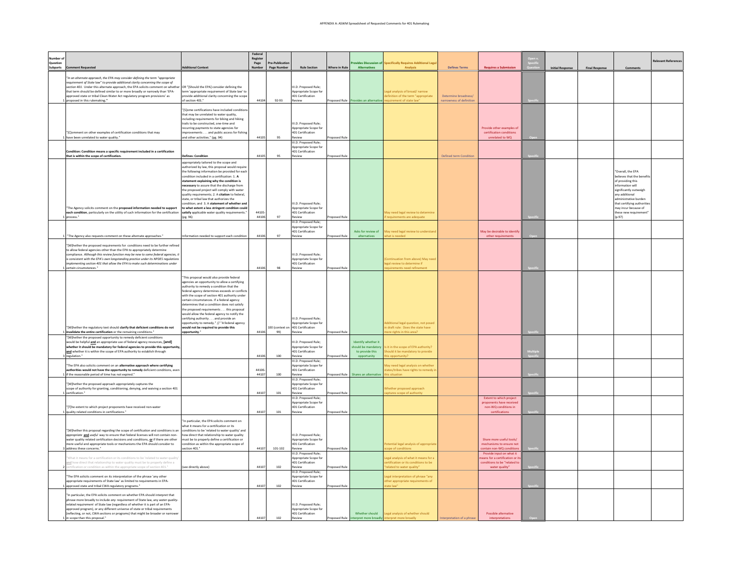| Vumber<br>Question<br><b>Subparts</b> | ment Requested                                                                                                                                                                                                                                                                                                                                                                                                                                                                                                       | ditional Context                                                                                                                                                                                                                                                                                                                                                                                                                                                                                                                                                                                   | Federal<br>Register<br>Page<br>Numbe | re-Publicatio<br>Page Numbe | <b>Rule Section</b>                                                                          | Where in Rule                | <b>ovides Discussion o</b><br>Alternatives                                  | becifically Requires Additional Lega                                                                | <b>Defines Terms</b>                            | <b>Requires a Sub</b>                                                                                    | <b>Initial Respons</b> | <b>Final Response</b> | Comment                                                                                                                                                                                                                                            | <b>elevant References</b> |
|---------------------------------------|----------------------------------------------------------------------------------------------------------------------------------------------------------------------------------------------------------------------------------------------------------------------------------------------------------------------------------------------------------------------------------------------------------------------------------------------------------------------------------------------------------------------|----------------------------------------------------------------------------------------------------------------------------------------------------------------------------------------------------------------------------------------------------------------------------------------------------------------------------------------------------------------------------------------------------------------------------------------------------------------------------------------------------------------------------------------------------------------------------------------------------|--------------------------------------|-----------------------------|----------------------------------------------------------------------------------------------|------------------------------|-----------------------------------------------------------------------------|-----------------------------------------------------------------------------------------------------|-------------------------------------------------|----------------------------------------------------------------------------------------------------------|------------------------|-----------------------|----------------------------------------------------------------------------------------------------------------------------------------------------------------------------------------------------------------------------------------------------|---------------------------|
|                                       | n an alternate approach, the EPA may consider defining the term "appropriat<br>requirement of State law" to provide additional clarity concerning the scope of<br>section 401. Under this alternate approach, the EPA solicits comment on whether<br>that term should be defined similar to or more broadly or narrowly than 'EPA-<br>approved state or tribal Clean Water Act regulatory program provisions' as<br>proposed in this rulemaking."                                                                    | OR "[Should the EPA] consider defining the<br>term 'appropriate requirement of State law' to<br>provide additional clarity concerning the scope<br>of section 401."                                                                                                                                                                                                                                                                                                                                                                                                                                | 44104                                | 92-93                       | III.D. Proposed Rule:<br>Appropriate Scope for<br>401 Certification<br>Review                | roposed Rule                 | ovides an alternativ                                                        | egal analysis of broad/narrow<br>nition of the term "appropriate<br>ent of state law                | Determine broadness/<br>narrowness of definitio |                                                                                                          |                        |                       |                                                                                                                                                                                                                                                    |                           |
|                                       | [C]omment on other examples of certification conditions that may<br>have been unrelated to water quality."                                                                                                                                                                                                                                                                                                                                                                                                           | '[S]ome certifications have included condition<br>that may be unrelated to water quality,<br>including requirements for biking and hiking<br>trails to be constructed, one-time and<br>recurring payments to state agencies for<br>improvements and public access for fishing<br>and other activities." (pg. 94)                                                                                                                                                                                                                                                                                   | 44105                                | 95                          | III.D. Proposed Rule<br>Appropriate Scope for<br>401 Certification<br>Review                 | nosed Rule                   |                                                                             |                                                                                                     |                                                 | rovide other examples of<br>certification conditions<br>unrelated to WQ                                  |                        |                       |                                                                                                                                                                                                                                                    |                           |
|                                       | Condition: Condition means a specific requirement included in a certification<br>that is within the scope of certification.                                                                                                                                                                                                                                                                                                                                                                                          | <b>Defines: Condition</b>                                                                                                                                                                                                                                                                                                                                                                                                                                                                                                                                                                          | 44105                                | 95                          | III.D. Proposed Rule<br>Appropriate Scope for<br>401 Certification                           | nosed Rule                   |                                                                             |                                                                                                     | <b>Defined term Condition</b>                   |                                                                                                          |                        |                       |                                                                                                                                                                                                                                                    |                           |
|                                       | The Agency solicits comment on the proposed information needed to support<br>each condition, particularly on the utility of such information for the certification<br>process."                                                                                                                                                                                                                                                                                                                                      | appropriately tailored to the scope and<br>authorized by law, this proposal would requir<br>the following information be provided for each<br>condition included in a certification: 1. A<br>statement explaining why the condition is<br>necessary to assure that the discharge from<br>the proposed project will comply with water<br>quality requirements; 2. A citation to federal,<br>state, or tribal law that authorizes the<br>ondition; and 3. A statement of whether an<br>to what extent a less stringent condition could<br>satisfy applicable water quality requirements.<br>(pg. 96) | 44105<br>44106                       | 97                          | III.D. Proposed Rule<br>Appropriate Scope for<br>401 Certification<br>Review                 | oposed Rule                  |                                                                             | lay need legal review to deter<br>ements are adequate                                               |                                                 |                                                                                                          |                        |                       | "Overall, the EPA<br>believes that the benefit<br>of providing this<br>nformation will<br>significantly outweigh<br>any additional<br>administrative burden<br>that certifying authoritie<br>may incur because of<br>these new requirement<br>0.97 |                           |
|                                       |                                                                                                                                                                                                                                                                                                                                                                                                                                                                                                                      |                                                                                                                                                                                                                                                                                                                                                                                                                                                                                                                                                                                                    |                                      |                             | III D. Pronosed Rule:<br>Annropriate Scope for<br>401 Certification                          |                              | Asks for review of                                                          | May need legal review to understar                                                                  |                                                 | May be desirable to identif                                                                              |                        |                       |                                                                                                                                                                                                                                                    |                           |
|                                       | "The Agency also requests comment on these alternate approaches."<br>'[W]hether the proposed requirements for conditions need to be further refined<br>to allow federal agencies other than the EPA to appropriately determine<br>compliance. Although this review function may be new to some federal agencies, it<br>is consistent with the EPA's own longstanding practice under its NPDES regulations<br>nplementing section 401 that allow the EPA to make such determinations under<br>certain circumstances." | Information needed to support each condition                                                                                                                                                                                                                                                                                                                                                                                                                                                                                                                                                       | 44106<br>44106                       | 97<br>98                    | Review<br>III.D. Proposed Rule;<br>Appropriate Scope for<br>401 Certification<br>Review      | roposed Rule<br>roposed Rule | alternatives                                                                | hat is needed<br>ation from above) May nee<br>gal review to determine if<br>irements need refineme  |                                                 | other requirements                                                                                       |                        |                       |                                                                                                                                                                                                                                                    |                           |
|                                       | [W]hether the regulatory text should clarify that deficient conditions do not                                                                                                                                                                                                                                                                                                                                                                                                                                        | "This proposal would also provide federal<br>agencies an opportunity to allow a certifying<br>authority to remedy a condition that the<br>federal agency determines exceeds or conflict<br>with the scope of section 401 authority under<br>certain circumstances. If a federal agency<br>determines that a condition does not satisfy<br>the proposed requirements this proposal<br>vould allow the federal agency to notify the<br>certifying authority and provide an<br>pportunity to remedy." // "A federal agency<br>vould not be required to provide this<br>oportunity."                   | 44106                                | 99)                         | III.D. Proposed Rule<br>Appropriate Scope for<br>100 (context on 401 Certification<br>Review | roposed Rule                 |                                                                             | hal legal question, not poser<br>draft rule: Does the state have<br>e rights in this area?          |                                                 |                                                                                                          |                        |                       |                                                                                                                                                                                                                                                    |                           |
|                                       | invalidate the entire certification or the remaining conditions."<br>[W]hether the proposed opportunity to remedy deficient conditions<br>would be helpful and an appropriate use of federal agency resources, [and]<br>whether it should be mandatory for federal agencies to provide this opportunity<br>and whether it is within the scope of EPA authority to establish through<br>regulation."                                                                                                                  |                                                                                                                                                                                                                                                                                                                                                                                                                                                                                                                                                                                                    | 44106                                | 100                         | III.D. Proposed Rule<br>Appropriate Scope for<br>401 Certification<br>Review                 | oposed Rul                   | Identify whether it<br>hould be mandatory<br>to provide this<br>opportunity | it in the scope of EPA authority?<br>buld it be mandatory to provide                                |                                                 |                                                                                                          |                        |                       |                                                                                                                                                                                                                                                    |                           |
|                                       | "The EPA also solicits comment on an alternative approach where certifying<br>suthorities would not have the opportunity to remedy deficient conditions, ever<br>if the reasonable period of time has not expired."                                                                                                                                                                                                                                                                                                  |                                                                                                                                                                                                                                                                                                                                                                                                                                                                                                                                                                                                    | 44106<br>44107                       | 100                         | III.D. Proposed Rule;<br>Appropriate Scope for<br>401 Certification<br>Review                | onosed Rule                  | Shares an alternativ                                                        | lay need legal analysis on whether<br>ates/tribes have rights to remedy i                           |                                                 |                                                                                                          |                        |                       |                                                                                                                                                                                                                                                    |                           |
|                                       | [W]hether the proposed approach appropriately captures the<br>scope of authority for granting, conditioning, denying, and waiving a section 401<br>certification."                                                                                                                                                                                                                                                                                                                                                   |                                                                                                                                                                                                                                                                                                                                                                                                                                                                                                                                                                                                    | 44107                                | 101                         | III.D. Proposed Rule<br>Appropriate Scope for<br>401 Certification<br>Review                 | nosed Rule                   |                                                                             | hether proposed approach<br>res scope of autho                                                      |                                                 |                                                                                                          |                        |                       |                                                                                                                                                                                                                                                    |                           |
|                                       | "[T]he extent to which project proponents have received non-water<br>quality related conditions in certifications."                                                                                                                                                                                                                                                                                                                                                                                                  |                                                                                                                                                                                                                                                                                                                                                                                                                                                                                                                                                                                                    | 44107                                | 101                         | III.D. Proposed Rule:<br>Appropriate Scope for<br>401 Certification<br>Review                | roposed Rule                 |                                                                             |                                                                                                     |                                                 | Extent to which project<br>proponents have received<br>non-WQ conditions in<br>certifications            |                        |                       |                                                                                                                                                                                                                                                    |                           |
|                                       | "[W]hether this proposal regarding the scope of certification and conditions is an<br>appropriate and useful way to ensure that federal licenses will not contain non-<br>water quality related certification decisions and conditions, or if there are other<br>nore useful and appropriate tools or mechanisms the EPA should consider to<br>ddress these concerns."                                                                                                                                               | In particular, the EPA solicits comment on<br>what it means for a certification or its<br>onditions to be 'related to water quality' and<br>how direct that relationship to water quality<br>must be to properly define a certification or<br>condition as within the appropriate scope of<br>section 401."                                                                                                                                                                                                                                                                                        | 44107                                | $101 - 102$                 | III.D. Proposed Rule;<br>Appropriate Scope for<br>401 Certification<br>Review                | ed Rul                       |                                                                             | tial legal analysis of approp                                                                       |                                                 | Share more useful tools/<br>nechanisms to ensure no<br>ontain non-WQ co                                  |                        |                       |                                                                                                                                                                                                                                                    |                           |
|                                       | That it means for a certification or its conditions to be 'related to water qualit<br>nd how direct that relationship to water quality must be to properly define a<br>tification or condition as within the appropriate scope of section 401.                                                                                                                                                                                                                                                                       | (see directly above)                                                                                                                                                                                                                                                                                                                                                                                                                                                                                                                                                                               | 44107                                | 102                         | III.D. Proposed Rule<br>Appropriate Scope for<br>401 Certification<br>Review                 | nosed Rul                    |                                                                             | gal analysis of what it means for a<br>rtification or its conditions to be<br>ated to water quality |                                                 | Provide input on what it<br>eans for a certification or<br>conditions to be "related to<br>water quality |                        |                       |                                                                                                                                                                                                                                                    |                           |
|                                       | The EPA solicits comment on its interpretation of the phrase 'any other<br>appropriate requirements of State law' as limited to requirements in EPA-<br>approved state and tribal CWA regulatory programs."                                                                                                                                                                                                                                                                                                          |                                                                                                                                                                                                                                                                                                                                                                                                                                                                                                                                                                                                    | 44107                                | 102                         | III.D. Proposed Rule<br>Appropriate Scope for<br>401 Certification<br>Review                 | roposed Rule                 |                                                                             | gal interpretation of phrase "any<br>her appropriate requirements of                                |                                                 |                                                                                                          |                        |                       |                                                                                                                                                                                                                                                    |                           |
|                                       | In particular, the EPA solicits comment on whether EPA should interpret that<br>phrase more broadly to include any requirement of State law, any water quality-<br>related requirement of State law (regardless of whether it is part of an EPA-<br>approved program), or any different universe of state or tribal requirements<br>(reflecting, or not, CWA sections or programs) that might be broader or narrower<br>in scope than this proposal."                                                                |                                                                                                                                                                                                                                                                                                                                                                                                                                                                                                                                                                                                    | 44107                                | 102                         | III.D. Proposed Rule:<br>Appropriate Scope for<br>401 Certification<br>Review                | oposed Rule                  | Whether should<br>erpret more broadly                                       | Legal analysis of whether should<br>mret more broadh                                                | nterpretation of a phrase                       | Possible alternative                                                                                     |                        |                       |                                                                                                                                                                                                                                                    |                           |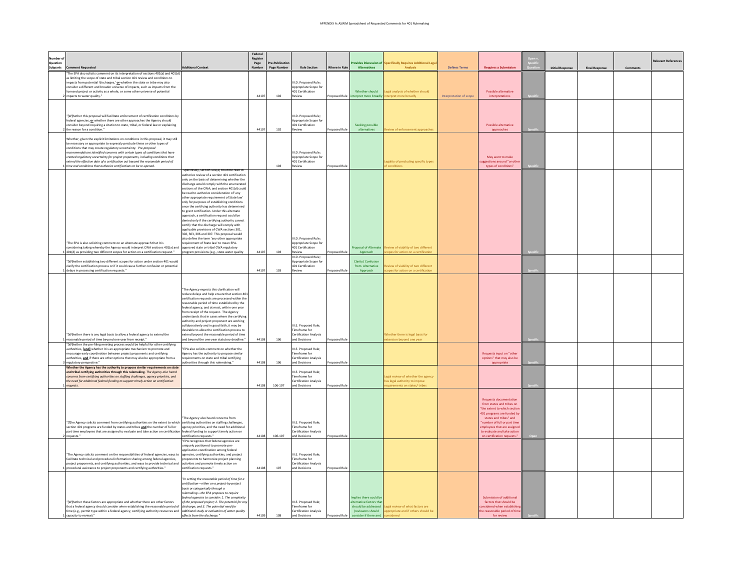|                             |                                                                                                                                                                                                                                                                                                                                                                                                                                                                                                                                                                       |                                                                                                                                                                                                                                                                                                                                                                                                                                                                                                                                                                                                                                                                                                                                                                                                                                                                                                                            | Federal<br>Registe |                                     |                                                                                                                               |               |                                                                                                                      |                                                                                          |                         |                                                                                                                                                                                                                                                                           |                      |                    | elevant Reference |
|-----------------------------|-----------------------------------------------------------------------------------------------------------------------------------------------------------------------------------------------------------------------------------------------------------------------------------------------------------------------------------------------------------------------------------------------------------------------------------------------------------------------------------------------------------------------------------------------------------------------|----------------------------------------------------------------------------------------------------------------------------------------------------------------------------------------------------------------------------------------------------------------------------------------------------------------------------------------------------------------------------------------------------------------------------------------------------------------------------------------------------------------------------------------------------------------------------------------------------------------------------------------------------------------------------------------------------------------------------------------------------------------------------------------------------------------------------------------------------------------------------------------------------------------------------|--------------------|-------------------------------------|-------------------------------------------------------------------------------------------------------------------------------|---------------|----------------------------------------------------------------------------------------------------------------------|------------------------------------------------------------------------------------------|-------------------------|---------------------------------------------------------------------------------------------------------------------------------------------------------------------------------------------------------------------------------------------------------------------------|----------------------|--------------------|-------------------|
| Question<br><b>Subparts</b> | nt Regi                                                                                                                                                                                                                                                                                                                                                                                                                                                                                                                                                               | al Contex                                                                                                                                                                                                                                                                                                                                                                                                                                                                                                                                                                                                                                                                                                                                                                                                                                                                                                                  | Page               | Pre-Publicatio<br><b>Page Numbe</b> | <b>Rule Section</b>                                                                                                           | Where in Rule | wides Discussion<br><b>Alternatives</b>                                                                              | pecifically Requires Additional Lega                                                     | <b>Defines Terms</b>    | ires a Sub                                                                                                                                                                                                                                                                | <b>Initial Respo</b> | <b>Final Respo</b> |                   |
|                             | The EPA also solicits comment on its interpretation of sections 401(a) and 401(d<br>as limiting the scope of state and tribal section 401 review and conditions to<br>impacts from potential 'discharges,' or whether the state or tribe may also<br>consider a different and broader universe of impacts, such as impacts from the<br>licensed project or activity as a whole, or some other universe of potential<br>2 impacts to water quality."                                                                                                                   |                                                                                                                                                                                                                                                                                                                                                                                                                                                                                                                                                                                                                                                                                                                                                                                                                                                                                                                            | 44107              | 102                                 | III.D. Proposed Rule;<br>Appropriate Scope for<br>401 Certification<br>leview                                                 | nosed Rule    | Whether should<br>rpret more broad!                                                                                  | egal analysis of whether should<br>erpret more broadly                                   | Interpretation of scope | Possible alternative<br>interpretat                                                                                                                                                                                                                                       |                      |                    |                   |
|                             | "[W]hether this proposal will facilitate enforcement of certification conditions by<br>federal agencies, or whether there are other approaches the Agency should<br>consider beyond requiring a citation to state, tribal, or federal law or explaining<br>2 the reason for a condition."                                                                                                                                                                                                                                                                             |                                                                                                                                                                                                                                                                                                                                                                                                                                                                                                                                                                                                                                                                                                                                                                                                                                                                                                                            | 44107              | 102                                 | III.D. Proposed Rule:<br>Appropriate Scope fo<br>401 Certification<br>Review                                                  | roposed Rule  | Seeking possible<br>alternatives                                                                                     | ew of enforcer<br>ent approach                                                           |                         | Possible alternative<br>approaches                                                                                                                                                                                                                                        |                      |                    |                   |
|                             | Whether, given the explicit limitations on conditions in this proposal, it may still<br>be necessary or appropriate to expressly preclude these or other types of<br>conditions that may create regulatory uncertainty. Pre-proposal<br>recommendations identified concerns with certain types of conditions that have<br>reated regulatory uncertainty for project proponents, including conditions that<br>extend the effective date of a certification out beyond the reasonable period of<br>1 time and conditions that authorize certifications to be re-opened. |                                                                                                                                                                                                                                                                                                                                                                                                                                                                                                                                                                                                                                                                                                                                                                                                                                                                                                                            |                    | 103                                 | III.D. Proposed Rule<br>Appropriate Scope for<br>401 Certification<br>Review                                                  | Proposed Rule |                                                                                                                      | gality of precluding specific type                                                       |                         | May want to make<br>ggestions around "or oth<br>types of conditions'                                                                                                                                                                                                      |                      |                    |                   |
|                             | The EPA is also soliciting comment on an alternate approach that it is<br>onsidering taking whereby the Agency would interpret CWA sections 401(a) and<br>1 401(d) as providing two different scopes for action on a certification request."<br>"[W]hether establishing two different scopes for action under section 401 would                                                                                                                                                                                                                                       | "Specifically, section 401(a) could be read to<br>uthorize review of a section 401 certification<br>only on the basis of determining whether the<br>discharge would comply with the enumerated<br>sections of the CWA; and section 401(d) could<br>be read to authorize consideration of 'any<br>other appropriate requirement of State law'<br>only for purposes of establishing conditions<br>once the certifying authority has determined<br>to grant certification. Under this alternate<br>oproach, a certification request could be<br>denied only if the certifying authority cannot<br>certify that the discharge will comply with<br>applicable provisions of CWA sections 301,<br>302, 303, 306 and 307. This proposal would<br>also define the term 'any other appropriate<br>equirement of State law' to mean EPA-<br>approved state or tribal CWA regulatory<br>program provisions (e.g., state water quality | 44107              | 103                                 | III.D. Proposed Rule;<br>Appropriate Scope for<br>401 Certification<br>eview<br>III.D. Proposed Rule:<br>ppropriate Scope for | roposed Rule  | posal of Alternat<br>Approach<br>Clarity/ Confusion                                                                  | iew of viability of two differen<br>pes for action on a certificat                       |                         |                                                                                                                                                                                                                                                                           |                      |                    |                   |
|                             | clarify the certification process or if it could cause further confusion or potential<br>1 delays in processing certification requests."                                                                                                                                                                                                                                                                                                                                                                                                                              |                                                                                                                                                                                                                                                                                                                                                                                                                                                                                                                                                                                                                                                                                                                                                                                                                                                                                                                            | 44107              | 103                                 | 401 Certification<br>Review                                                                                                   | Pronosed Rule | from Alternative<br>Approach                                                                                         | view of viability of two different<br>opes for action on a certificat                    |                         |                                                                                                                                                                                                                                                                           |                      |                    |                   |
|                             | "IWIhether there is any legal basis to allow a federal agency to extend the<br>1 reasonable period of time beyond one year from receipt."                                                                                                                                                                                                                                                                                                                                                                                                                             | "The Agency expects this clarification will<br>educe delays and help ensure that section 401<br>certification requests are processed within the<br>asonable period of time established by the<br>federal agency, and at most, within one year<br>rom receipt of the request. The Agency<br>inderstands that in cases where the certifying<br>authority and project proponent are working<br>collaboratively and in good faith, it may be<br>desirable to allow the certification process to<br>xtend beyond the reasonable period of time<br>and beyond the one-year statutory deadline.                                                                                                                                                                                                                                                                                                                                   | 44108              | 106                                 | III.E. Proposed Rule;<br>Timeframe for<br><b>Certification Analysis</b><br>and Decisions                                      | roposed Rule  |                                                                                                                      | hether there is legal basis for<br>nsion bevond one vear                                 |                         |                                                                                                                                                                                                                                                                           |                      |                    |                   |
|                             | "[W]hether the pre-filing meeting process would be helpful for other certifying<br>authorities, [and] whether it is an appropriate mechanism to promote and<br>encourage early coordination between project proponents and certifying<br>authorities, and if there are other options that may also be appropriate from a<br>3 regulatory perspective."                                                                                                                                                                                                                | "FPA also solicits comment on whether the<br>Agency has the authority to propose similar<br>equirements on state and tribal certifying<br>uthorities through this rulemaking."                                                                                                                                                                                                                                                                                                                                                                                                                                                                                                                                                                                                                                                                                                                                             | 44108              | 106                                 | III E. Pronosed Rule:<br>Timeframe for<br>Certification Analysis<br>Ind Decisions                                             | posed Rule    |                                                                                                                      |                                                                                          |                         | Requests input on "other<br>options" that may also be<br>appropriate                                                                                                                                                                                                      |                      |                    |                   |
|                             | Whether the Agency has the authority to propose similar requirements on state<br>and tribal certifying authorities through this rulemaking. The Agency glso heard<br>concerns from certifying authorities on staffing challenges, agency priorities, and<br>the need for additional federal funding to support timely action on certification<br>requests.                                                                                                                                                                                                            |                                                                                                                                                                                                                                                                                                                                                                                                                                                                                                                                                                                                                                                                                                                                                                                                                                                                                                                            | 44108              | 106-107                             | III.E. Proposed Rule:<br>Timeframe for<br>ertification Analysis<br>and Decisions                                              | roposed Rule  |                                                                                                                      | egal review of whether the agency<br>as legal authority to impose<br>nts on states/ trib |                         |                                                                                                                                                                                                                                                                           |                      |                    |                   |
|                             | "[T]he Agency solicits comment from certifying authorities on the extent to which certifying authorities on staffing challenges,<br>section 401 programs are funded by states and tribes and the number of full or<br>part time employees that are assigned to evaluate and take action on certification federal funding to support timely action on<br>2 requests."                                                                                                                                                                                                  | The Agency also heard concerns from<br>agency priorities, and the need for additiona<br>certification requests."                                                                                                                                                                                                                                                                                                                                                                                                                                                                                                                                                                                                                                                                                                                                                                                                           | 44108              | $106 - 107$                         | III E. Proposed Rule:<br>Timeframe for<br><b>Certification Analysis</b><br>and Decisions                                      | roposed Rule  |                                                                                                                      |                                                                                          |                         | <b>Requests documentation</b><br>from states and tribes on<br>the extent to which sectio<br>401 programs are funded by<br>states and tribes" and<br>'number of full or part time<br>mployees that are assigne<br>to evaluate and take action<br>on certification requests |                      |                    |                   |
|                             | "The Agency solicits comment on the responsibilities of federal agencies, ways to agencies, certifying authorities, and project<br>facilitate technical and procedural information sharing among federal agencies,<br>project proponents, and certifying authorities, and ways to provide technical and<br>procedural assistance to project proponents and certifying authorities."                                                                                                                                                                                   | "EPA recognizes that federal agencies are<br>niquely positioned to promote pre-<br>spolication coordination among federal<br>proponents to harmonize project planning<br>activities and promote timely action on<br>certification requests."                                                                                                                                                                                                                                                                                                                                                                                                                                                                                                                                                                                                                                                                               | 44108              | 107                                 | II.E. Proposed Rule;<br>Timeframe for<br><b>Certification Analysis</b><br>Ind Decisions                                       | oposed Rule   |                                                                                                                      |                                                                                          |                         |                                                                                                                                                                                                                                                                           |                      |                    |                   |
|                             | "[W]hether these factors are appropriate and whether there are other factors<br>that a federal agency should consider when establishing the reasonable period of discharge: and 3. The potential need for<br>time (e.g., permit type within a federal agency, certifying authority resources and additional study or evaluation of water quality<br>capacity to review)."                                                                                                                                                                                             | In setting the reasonable period of time for a<br>certification-either on a project-by-project<br>basis or categorically through a<br>ulemaking-the EPA proposes to require<br>federal agencies to consider: 1. The complexity<br>of the proposed project; 2. The potential for an<br>effects from the discharge."                                                                                                                                                                                                                                                                                                                                                                                                                                                                                                                                                                                                         | 44109              | 108                                 | III.E. Proposed Rule:<br>Timeframe for<br><b>Certification Analysis</b><br>and Decisions                                      | ed Rule       | nolies there could b<br>Iternative factors tha<br>should be addressed<br>(reviewers should)<br>onsider if there are) | egal review of what factors are<br>propriate and if others should be                     |                         | Submission of additional<br>factors that should be<br>insidered when establishi<br>he reasonable period of tin<br>for review                                                                                                                                              |                      |                    |                   |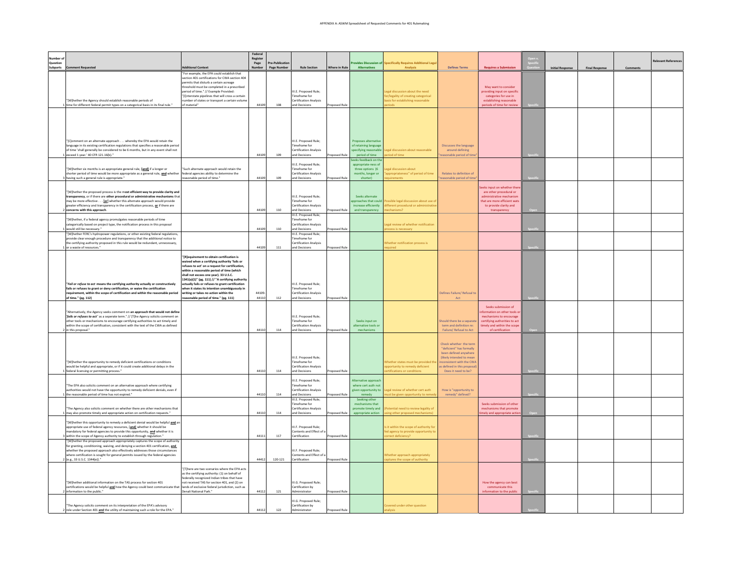| Number                             |                                                                                                                                                                                                                                                                                                                                                                       |                                                                                                                                                                                                                                                                                                                                                                                                                                                                      | Federal<br>Registe |                               |                                                                                          |                      |                                                                                               |                                                                                                |                                                                                                                                                                                         |                                                                                                                                                               |                     |                    | elevant References |
|------------------------------------|-----------------------------------------------------------------------------------------------------------------------------------------------------------------------------------------------------------------------------------------------------------------------------------------------------------------------------------------------------------------------|----------------------------------------------------------------------------------------------------------------------------------------------------------------------------------------------------------------------------------------------------------------------------------------------------------------------------------------------------------------------------------------------------------------------------------------------------------------------|--------------------|-------------------------------|------------------------------------------------------------------------------------------|----------------------|-----------------------------------------------------------------------------------------------|------------------------------------------------------------------------------------------------|-----------------------------------------------------------------------------------------------------------------------------------------------------------------------------------------|---------------------------------------------------------------------------------------------------------------------------------------------------------------|---------------------|--------------------|--------------------|
| <b>Question</b><br><b>Subparts</b> | mment Requested                                                                                                                                                                                                                                                                                                                                                       | dditional Context                                                                                                                                                                                                                                                                                                                                                                                                                                                    | Page<br>Numbe      | Pre-Publicatio<br>Page Number | <b>Rule Section</b>                                                                      | <b>Where in Rule</b> | vides Discussion<br>Alternatives                                                              | pecifically Requires Additional Lega                                                           | <b>Defines Terms</b>                                                                                                                                                                    | <b>Requires a Submis</b>                                                                                                                                      | <b>Initial Resp</b> | <b>Final Respe</b> |                    |
|                                    |                                                                                                                                                                                                                                                                                                                                                                       | "For example, the EPA could establish that<br>section 401 certifications for CWA section 404<br>permits that disturb a certain acreage<br>reshold must be completed in a prescribed<br>period of time." // Example Provided:<br>"[I]nterstate pipelines that will cross a certain                                                                                                                                                                                    |                    |                               | III.E. Proposed Rule;<br>Timeframe for                                                   |                      |                                                                                               | egal discussion about the need<br>r/legality of creating categorical                           |                                                                                                                                                                                         | May want to consider<br>providing input on specific<br>categories for use in                                                                                  |                     |                    |                    |
|                                    | [W]hether the Agency should establish reasonable periods of                                                                                                                                                                                                                                                                                                           | umber of states or transport a certain volume<br>of material"                                                                                                                                                                                                                                                                                                                                                                                                        | 44109              | 108                           | <b>Certification Analysis</b><br>and Decisions                                           | posed Rule           |                                                                                               | sis for establishing reasonable                                                                |                                                                                                                                                                                         | establishing reasonable<br>eriods of time for review                                                                                                          |                     |                    |                    |
|                                    | me for different federal permit types on a categorical basis in its final rule."<br>[C]omment on an alternate approach whereby the EPA would retain the                                                                                                                                                                                                               |                                                                                                                                                                                                                                                                                                                                                                                                                                                                      |                    |                               | III.E. Proposed Rule                                                                     |                      | roposes altern                                                                                |                                                                                                |                                                                                                                                                                                         |                                                                                                                                                               |                     |                    |                    |
|                                    | anguage in its existing certification regulations that specifies a reasonable period<br>of time 'shall generally be considered to be 6 months, but in any event shall not<br>exceed 1 year.' 40 CFR 121.16(b)."                                                                                                                                                       |                                                                                                                                                                                                                                                                                                                                                                                                                                                                      | 44109              | 109                           | Timeframe for<br>Certification Analysis<br>and Decisions                                 | onosed Rule          | of retaining language<br>specifying rea<br>period of time                                     | egal discussion about reasonabl<br>ind of time                                                 | <b>Discusses the language</b><br>around defining<br>asonable period of tim                                                                                                              |                                                                                                                                                               |                     |                    |                    |
|                                    | "[W]hether six months is an appropriate general rule, [and] if a longer or<br>horter period of time would be more appropriate as a general rule, and whether<br>having such a general rule is appropriate."                                                                                                                                                           | 'Such alternate approach would retain the<br>federal agencies ability to determine the<br>reasonable period of time."                                                                                                                                                                                                                                                                                                                                                | 44109              | $109\,$                       | III.E. Proposed Rule;<br>Timeframe for<br><b>Certification Analysis</b><br>and Decisions | roposed Rule         | eeks feedback on t<br>ppropriate-ness of<br>three options (6<br>months, longer or<br>shorter) | egal discussion about<br>ppropriateness" of period of time                                     | Relates to definition of<br>easonable period of time                                                                                                                                    |                                                                                                                                                               |                     |                    |                    |
|                                    | "[W]hether the proposed process is the most efficient way to provide clarity and<br>ransparency, or if there are other procedural or administrative mechanisms that<br>may be more effective [or] whether this alternate approach would provide<br>greater efficiency and transparency in the certification process, or if there are<br>oncerns with this approach.   |                                                                                                                                                                                                                                                                                                                                                                                                                                                                      | 44109              | 110                           | III.E. Proposed Rule;<br>Timeframe for<br><b>Certification Analysis</b><br>and Decisions | oposed Rule          | Seeks alternate<br>proaches that could<br>increase efficiently<br>and transparency            | ssible legal discussion about use o<br>ferent procedural or administrati                       |                                                                                                                                                                                         | eks input on whether the<br>are other procedural or<br>administrative mechanisn<br>that are more efficient wat<br>to provide clarity and<br>transpare         |                     |                    |                    |
|                                    | "[W]hether, if a federal agency promulgates reasonable periods of time<br>categorically based on project type, the notification process in this proposal                                                                                                                                                                                                              |                                                                                                                                                                                                                                                                                                                                                                                                                                                                      |                    |                               | III.E. Proposed Rule:<br>Timeframe for<br><b>Certification Analysis</b>                  |                      |                                                                                               | egal review of whether notification                                                            |                                                                                                                                                                                         |                                                                                                                                                               |                     |                    |                    |
|                                    | would still be necessary."<br>"[W]hether FERC's hydropower regulations, or other existing federal regulations,                                                                                                                                                                                                                                                        |                                                                                                                                                                                                                                                                                                                                                                                                                                                                      | 44109              | 110                           | and Decisions<br>III.E. Proposed Rule;                                                   | onosed Rule          |                                                                                               |                                                                                                |                                                                                                                                                                                         |                                                                                                                                                               |                     |                    |                    |
|                                    | rovide clear enough procedure and transparency that the additional notice to<br>the certifying authority proposed in this rule would be redundant, unnecessary,<br>or a waste of resources."                                                                                                                                                                          |                                                                                                                                                                                                                                                                                                                                                                                                                                                                      | 44109              | 111                           | Timeframe for<br><b>Certification Analysis</b><br>and Decisions                          | oposed Rule          |                                                                                               | hether notification process is                                                                 |                                                                                                                                                                                         |                                                                                                                                                               |                     |                    |                    |
|                                    | "Fail or refuse to act means the certifying authority actually or constructively<br>fails or refuses to grant or deny certification, or waive the certification<br>requirement, within the scope of certification and within the reasonable period<br>of time." (pg. 112)                                                                                             | "[R]equirement to obtain certification is<br>waived when a certifying authority 'fails or<br>refuses to act' on a request for certification.<br>within a reasonable period of time (which<br>shall not excees one year), 33 U.S.C.<br>1341(a)(1)" (pg. 111) // "A certifying authority<br>actually fails or refuses to grant certification<br>en it states its intention unambiguo<br>writing or takes no action within the<br>reasonable period of time." (pg. 111) | 44109<br>44110     | 112                           | III.E. Proposed Rule:<br>Timeframe for<br><b>Certification Analysis</b><br>and Decisions | roposed Rule         |                                                                                               |                                                                                                | Defines Failure/ Refusal to<br>Act                                                                                                                                                      |                                                                                                                                                               |                     |                    |                    |
|                                    | "Alternatively, the Agency seeks comment on an approach that would not define<br>'fails or refuses to act' as a seperate term." // [T]he Agency solicits comment on<br>other tools or mechanisms to encourage certifying authorities to act timely and<br>vithin the scope of certification, consistent with the text of the CWA as defined<br>in this proposal."     |                                                                                                                                                                                                                                                                                                                                                                                                                                                                      | 44110              | 114                           | III.E. Proposed Rule;<br>Timeframe for<br>Certification Analysis<br>and Decisions        | Proposed Rule        | Seeks input on<br>alternative tools of<br>mechanism:                                          |                                                                                                | hould there be a separat<br>term and definition re:<br>Failure/ Refusal to Act                                                                                                          | Seeks submission of<br>prmation on other tools o<br>mechanisms to encourage<br>certifying authorities to act<br>imely and within the scope<br>of certificatio |                     |                    |                    |
|                                    | "[W]hether the opportunity to remedy deficient certifications or conditions<br>would be helpful and appropriate, or if it could create additional delays in the<br>federal licensing or permitting process."                                                                                                                                                          |                                                                                                                                                                                                                                                                                                                                                                                                                                                                      | 44110              | 114                           | III.E. Proposed Rule:<br>Timeframe for<br>Certification Analysis<br>and Decisions        | connsed Rule         |                                                                                               | hether states must be provided th<br>portunity to remedy deficient<br>ons or condit            | Check whether the tem<br>"deficient" has formally<br>been defined anywhere<br>(likely intended to mear<br>consistent with the CWA<br>as defined in this proposal<br>Does it need to be? |                                                                                                                                                               |                     |                    |                    |
|                                    | "The EPA also solicits comment on an alternative approach where certifying<br>authorities would not have the opportunity to remedy deficient denials, even if<br>the reasonable period of time has not expired."                                                                                                                                                      |                                                                                                                                                                                                                                                                                                                                                                                                                                                                      | 44110              | 114                           | III.E. Proposed Rule;<br>Timeframe for<br><b>Certification Analysis</b><br>and Decisions | roposed Rule         | <b>Mternative</b> appro<br>where cert auth not<br>tiven opportunity to<br>remedy              | egal review of whether cert auth<br>ust be given opportunity to rem                            | How is "opportunity to<br>remedy" defined?                                                                                                                                              |                                                                                                                                                               |                     |                    |                    |
|                                    | "The Agency also solicits comment on whether there are other mechanisms that<br>may also promote timely and appropriate action on certification requests."                                                                                                                                                                                                            |                                                                                                                                                                                                                                                                                                                                                                                                                                                                      | 44110              | 114                           | III.E. Proposed Rule:<br>Timeframe for<br><b>Certification Analysis</b><br>and Decisions | conosed Rule         | Seeking other<br>mechanisms that<br>womote timely and<br>appropriate action                   | otential need to review legality of<br>ing other proposed mechan                               |                                                                                                                                                                                         | Seeks submission of other<br>mechanisms that promote<br>ely and appropriate action                                                                            |                     |                    |                    |
|                                    | "[W]hether this opportunity to remedy a deficient denial would be helpful and ar<br>appropriate use of federal agency resources, [and] whether it should be<br>mandatory for federal agencies to provide this opportunity, and whether it is<br>within the scope of Agency authority to establish through regulation."                                                |                                                                                                                                                                                                                                                                                                                                                                                                                                                                      | 44111              | 117                           | III E. Pronosed Rule:<br>Contents and Effect of a<br>Certification                       | <b>Proposed Rule</b> |                                                                                               | s it within the scope of authority for<br>d agency to provide opportunity to<br>ert deficiency |                                                                                                                                                                                         |                                                                                                                                                               |                     |                    |                    |
|                                    | "[W]hether the proposed approach appropriately captures the scope of authority<br>or granting, conditioning, waiving, and denying a section 401 certification, and<br>whether the proposed approach also effectively addresses those circumstances<br>where certification is sought for general permits issued by the federal agencies<br>(e.g., 33 U.S.C. 1344(e)).' |                                                                                                                                                                                                                                                                                                                                                                                                                                                                      | 44412              | 120-121                       | III F. Pronosed Rule:<br>Contents and Effect of a<br>Certification                       | Proposed Rule        |                                                                                               | hether approach appropriately<br>tures the scope of authority                                  |                                                                                                                                                                                         |                                                                                                                                                               |                     |                    |                    |
|                                    | Whether additional information on the TAS process for section 401<br>certifications would be helpful and how the Agency could best communicate that<br>information to the public.                                                                                                                                                                                     | '[T]here are two scenarios where the FPA acts<br>as the certifying authority: (1) on behalf of<br>federally recognized Indian tribes that have<br>not received TAS for section 401, and (2) on<br>lands of exclusive federal iurisdiction, such as<br>Denali National Park."                                                                                                                                                                                         | 44112              | 121                           | III.G. Proposed Rule:<br>Certification by<br>Administrator                               | roposed Rule         |                                                                                               |                                                                                                |                                                                                                                                                                                         | How the agency can best<br>communicate this<br>information to the publi                                                                                       |                     |                    |                    |
|                                    |                                                                                                                                                                                                                                                                                                                                                                       |                                                                                                                                                                                                                                                                                                                                                                                                                                                                      |                    |                               | III.G. Proposed Rule:                                                                    |                      |                                                                                               |                                                                                                |                                                                                                                                                                                         |                                                                                                                                                               |                     |                    |                    |
|                                    | The Agency solicits comment on its interpretation of the EPA's advisory<br>role under Section 401 and the utility of maintaining such a role for the EPA."                                                                                                                                                                                                            |                                                                                                                                                                                                                                                                                                                                                                                                                                                                      | 44112              | 122                           | Certification by<br>Administrator                                                        | Proposed Rule        |                                                                                               | wered under other question                                                                     |                                                                                                                                                                                         |                                                                                                                                                               |                     |                    |                    |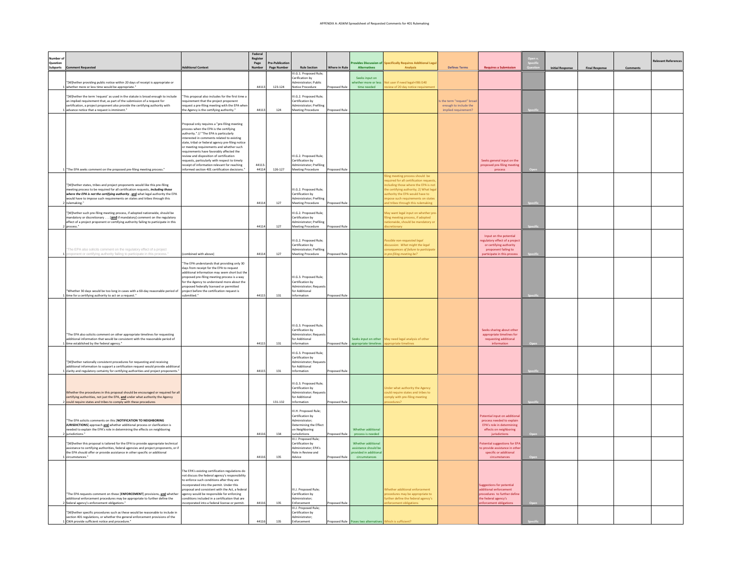|                      |                                                                                                                                                                                                                                                                                                                                                       |                                                                                                                                                                                                                                                                                                                                                                                                                                                                                                                      | Federal<br>Register |                               |                                                                                                                            |               |                                                                                 |                                                                                                                                                                                                                                            |                                                                           |                                                                                                                                         |                        |                      |         | televant Reference: |
|----------------------|-------------------------------------------------------------------------------------------------------------------------------------------------------------------------------------------------------------------------------------------------------------------------------------------------------------------------------------------------------|----------------------------------------------------------------------------------------------------------------------------------------------------------------------------------------------------------------------------------------------------------------------------------------------------------------------------------------------------------------------------------------------------------------------------------------------------------------------------------------------------------------------|---------------------|-------------------------------|----------------------------------------------------------------------------------------------------------------------------|---------------|---------------------------------------------------------------------------------|--------------------------------------------------------------------------------------------------------------------------------------------------------------------------------------------------------------------------------------------|---------------------------------------------------------------------------|-----------------------------------------------------------------------------------------------------------------------------------------|------------------------|----------------------|---------|---------------------|
| Question<br>Subparts | ment Requested                                                                                                                                                                                                                                                                                                                                        | dditional Context                                                                                                                                                                                                                                                                                                                                                                                                                                                                                                    | Page<br>Jumbe       | Pre-Publicatio<br>Page Number | <b>Rule Section</b><br>II.G.1. Proposed Rule;                                                                              | Where in Rule | vides Discuss<br><b>Alternatives</b>                                            | ecifically Requires Additional Lega                                                                                                                                                                                                        | <b>Defines Terms</b>                                                      | Requires a Subn                                                                                                                         | <b>Initial Respons</b> | <b>Final Respons</b> | Commant |                     |
|                      | "[W]hether providing public notice within 20 days of receipt is appropriate or<br>hether more or less time would be appropriate."                                                                                                                                                                                                                     |                                                                                                                                                                                                                                                                                                                                                                                                                                                                                                                      | 44113               | 123-124                       | erification by<br>dministrator; Public<br>Notice Procedure                                                                 | posed Rule    | Seeks input or<br>er more or les<br>time needed                                 | ot user if need legal+198:1140<br>lew of 20 day notice                                                                                                                                                                                     |                                                                           |                                                                                                                                         |                        |                      |         |                     |
|                      | "[W]hether the term 'request' as used in the statute is broad enough to include<br>an implied requirement that, as part of the submission of a request for<br>certification, a project proponent also provide the certifying authority with<br>advance notice that a request is imminent."                                                            | This proposal also includes for the first time a<br>quirement that the project proponent<br>equest a pre-filing meeting with the EPA whe<br>the Agency is the certifying authority."                                                                                                                                                                                                                                                                                                                                 | 44113               | 124                           | II.G.2. Proposed Rule<br>Certification by<br>Administrator: Prefiline<br>Meeting Procedure                                 | Proposed Rule |                                                                                 |                                                                                                                                                                                                                                            | the term "request" broat<br>enough to include the<br>implied requirement? |                                                                                                                                         |                        |                      |         |                     |
|                      | "The EPA seeks comment on the proposed pre-filing meeting process."                                                                                                                                                                                                                                                                                   | roposal only requires a "pre-filing meeting<br>process when the EPA is the certifying<br>authority." // "The EPA is particularly<br>nterested in comments related to existing<br>state, tribal or federal agency pre-filing notice<br>or meeting requirements and whether such<br>equirements have favorably affected the<br>review and disposition of certification<br>equests, particularly with respect to timely<br>receipt of information relevant for reaching<br>nformed section 401 certification decisions. | 44113<br>44114      | 126-127                       | II.G.2. Proposed Rule;<br>Certification by<br>dministrator; Prefiling<br>Meeting Procedure                                 | Proposed Rule |                                                                                 |                                                                                                                                                                                                                                            |                                                                           | Seeks general input on the<br>proposed pre-filing meeting<br>proces                                                                     |                        |                      |         |                     |
|                      | "[W]hether states, tribes and project proponents would like this pre-filing<br>meeting process to be required for all certification requests, <i>including those</i><br>where the EPA is not the certifying authority, and what legal authority the EPA<br>would have to impose such requirements on states and tribes through this<br>2 rulemaking." |                                                                                                                                                                                                                                                                                                                                                                                                                                                                                                                      | 44114               | 127                           | III.G.2. Proposed Rule;<br>Certification by<br>ministrator; Prefiling<br>Meeting Procedure                                 | Proposed Rule |                                                                                 | ng meeting process should be<br>red for all certification reques<br>ding those where the EPA is no<br>e certifying authority; 2) What lega<br>ority the EPA would have to<br>se such requirements on state<br>tribes through this rulemaki |                                                                           |                                                                                                                                         |                        |                      |         |                     |
|                      | "[W]hether such pre-filing meeting process, if adopted nationwide, should be<br>mandatory or discretionary [and if mandatory] comment on the regulatory<br>effect of a project proponent or certifying authority failing to participate in this<br>2 process."                                                                                        |                                                                                                                                                                                                                                                                                                                                                                                                                                                                                                                      | 44114               | 127                           | II.G.2. Proposed Rule;<br>Certification by<br>Administrator: Prefiling<br>Meeting Procedure                                | Proposed Rule |                                                                                 | ay want legal input on whether pr<br>ing meeting process, if adopted<br>onwide, should be mandatory of                                                                                                                                     |                                                                           |                                                                                                                                         |                        |                      |         |                     |
|                      | The EPA also solicits comment on the regulatory effect of a project<br>ponent or certifying authority failing to participate in this process.                                                                                                                                                                                                         | combined with above)                                                                                                                                                                                                                                                                                                                                                                                                                                                                                                 | 44114               | 127                           | III.G.2. Proposed Rule:<br>Certification by<br>ministrator; Prefiling<br>Meeting Procedure                                 | Proposed Rule |                                                                                 | ssible non-requested legal<br>cussion: What might the legal<br>equences of failure to particip<br>ore-filing meeting be?                                                                                                                   |                                                                           | Input on the potential<br>egulatory effect of a projec<br>or certifying authority<br>proponent failing to<br>participate in this proces |                        |                      |         |                     |
|                      | "Whether 30 days would be too long in cases with a 60-day reasonable period of<br>time for a certifying authority to act on a request."                                                                                                                                                                                                               | The EPA understands that providing only 30<br>days from receipt for the EPA to request<br>additional information may seem short but the<br>roposed pre-filing meeting process is a way<br>for the Agency to understand more about the<br>roposed federally licensed or permitted<br>project before the certification request is<br>submitted."                                                                                                                                                                       | 44115               | 131                           | III.G.3. Proposed Rule:<br>Certification by<br>Administrator; Reque:<br>for Additional<br>Information                      | roposed Rule  |                                                                                 |                                                                                                                                                                                                                                            |                                                                           |                                                                                                                                         |                        |                      |         |                     |
|                      | "The EPA also solicits comment on other appropriate timelines for requesting<br>additional information that would be consistent with the reasonable period of<br>1 time established by the federal agency."                                                                                                                                           |                                                                                                                                                                                                                                                                                                                                                                                                                                                                                                                      | 44115               | 131                           | III.G.3. Proposed Rule;<br>Certification hy<br>Administrator: Reque<br>for Additional<br>nformation                        | roposed Rule  | Seeks input on other<br>appropriate timelines                                   | May need legal analysis of other<br>propriate timelines                                                                                                                                                                                    |                                                                           | Seeks sharing about other<br>appropriate timelines for<br>$\sqrt{\frac{1}{2}}$ requesting additional<br>information                     |                        |                      |         |                     |
|                      | "[W]hether nationally consistent procedures for requesting and receiving<br>additional information to support a certification request would provide additio<br>clarity and regulatory certainty for certifying authorities and project proponents."                                                                                                   |                                                                                                                                                                                                                                                                                                                                                                                                                                                                                                                      | 44115               | $131\,$                       | III.G.3. Proposed Rule:<br>Certification by<br>Administrator; Reque<br>for Additional<br>Information                       | roposed Rule  |                                                                                 |                                                                                                                                                                                                                                            |                                                                           |                                                                                                                                         |                        |                      |         |                     |
|                      | Whether the procedures in this proposal should be encouraged or required for al<br>certifying authorities, not just the EPA, and under what authority the Agency<br>could require states and tribes to comply with these procedures                                                                                                                   |                                                                                                                                                                                                                                                                                                                                                                                                                                                                                                                      |                     | 131-132                       | III.G.3. Proposed Rule<br>Certification by<br>Administrator; Reques<br>for Additional<br>Information                       | Proposed Rule |                                                                                 | der what authority the Agency<br>uld require states and tribes to<br>ply with pre-filing meeting                                                                                                                                           |                                                                           |                                                                                                                                         |                        |                      |         |                     |
|                      | "The EPA solicits comments on this [NOTIFICATION TO NEIGHBORING<br>JURISDICTIONS] approach and whether additional process or clarification is<br>needed to explain the EPA's role in determining the effects on neighboring<br>urisdictions."                                                                                                         |                                                                                                                                                                                                                                                                                                                                                                                                                                                                                                                      | 44116               | 134                           | III.H. Proposed Rule;<br>Certification by<br>Administrator<br>Determining the Effect<br>on Neighboring<br>urisdictions     | roposed Rule  | Whether additio<br>process is needed                                            |                                                                                                                                                                                                                                            |                                                                           | Potential input on addition<br>process needed to explain<br><b>EPA's role in determining</b><br>effects on neighboring<br>jurisdiction  |                        |                      |         |                     |
|                      | "[W]hether this proposal is tailored for the EPA to provide appropriate technical<br>assistance to certifying authorities, federal agencies and project proponents, or if<br>the EPA should offer or provide assistance in other specific or additional<br>1 circumstances."                                                                          |                                                                                                                                                                                                                                                                                                                                                                                                                                                                                                                      | 44116               | 135                           | III.I. Proposed Rule;<br>Certification by<br>Administrator; EPA's<br>Role in Review and<br>Advice                          | Proposed Rule | Whether additional<br>assistance should be<br>ovided in additi<br>circumstances |                                                                                                                                                                                                                                            |                                                                           | otential suggestions for EP.<br>o provide assistance in othe<br>specific or additional<br>circumstances                                 |                        |                      |         |                     |
|                      | The EPA requests comment on these [ENFORCEMENT] provisions, and whether<br>additional enforcement procedures may be appropriate to further define the<br>federal agency's enforcement obligations."<br>"[W]hether specific procedures such as these would be reasonable to include in                                                                 | The EPA's existing certification regulations do<br>not discuss the federal agency's responsibility<br>to enforce such conditions after they are<br>incorporated into the permit. Under this<br>roposal and consistent with the Act, a federa<br>agency would be responsible for enforcing<br>onditions included in a certification that are<br>ncorporated into a federal license or permit.                                                                                                                         | 44116               | 135                           | III.J. Proposed Rule;<br>Certification by<br>dministrator<br><b>Inforcement</b><br>III.J. Proposed Rule<br>ertification by | ed Rul        |                                                                                 | hether additional enforcement<br>cedures may be appropriate to<br>ther define the federal agency's                                                                                                                                         |                                                                           | Suggestions for potential<br>dditional enforcement<br>ocedures to further del<br>he federal agency's                                    |                        |                      |         |                     |
|                      | section 401 regulations, or whether the general enforcement provisions of the<br>1 CWA provide sufficient notice and procedure."                                                                                                                                                                                                                      |                                                                                                                                                                                                                                                                                                                                                                                                                                                                                                                      | 44116               | 135                           | Administrator;<br>Enforcement                                                                                              | Proposed Rule | Poses two alternatives                                                          | hich is sufficient?                                                                                                                                                                                                                        |                                                                           |                                                                                                                                         |                        |                      |         |                     |